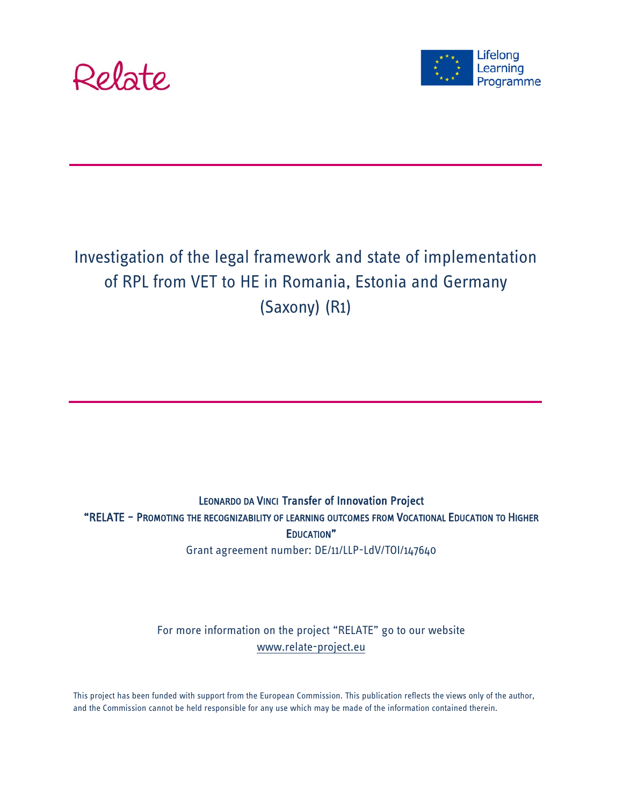



# Investigation of the legal framework and state of implementation of RPL from VET to HE in Romania, Estonia and Germany (Saxony) (R1)

# LEONARDO DA VINCI Transfer of Innovation Project "RELATE – PROMOTING THE RECOGNIZABILITY OF LEARNING OUTCOMES FROM VOCATIONAL EDUCATION TO HIGHER EDUCATION" Grant agreement number: DE/11/LLP-LdV/TOI/147640

For more information on the project "RELATE" go to our website [www.relate-project.eu](http://www.relate-project.eu/)

This project has been funded with support from the European Commission. This publication reflects the views only of the author, and the Commission cannot be held responsible for any use which may be made of the information contained therein.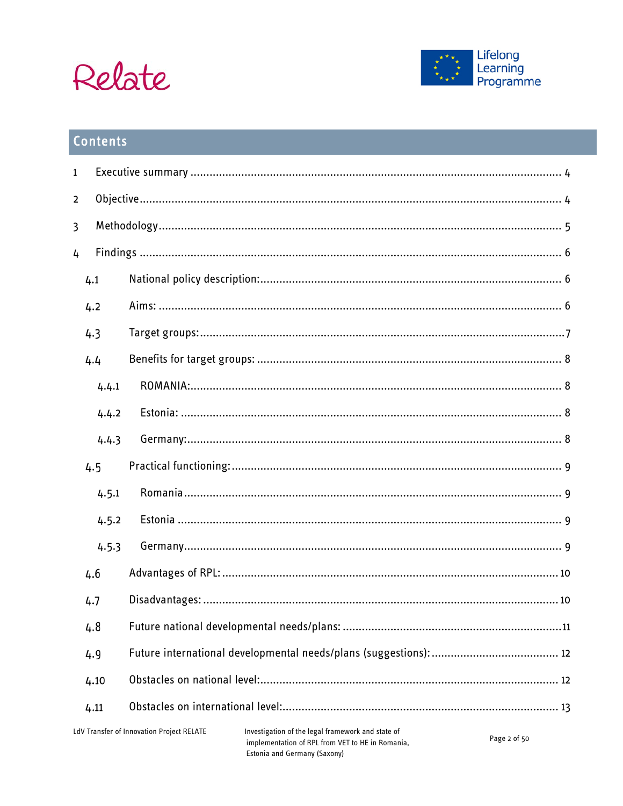



# Contents

| $\mathbf{1}$                              |       |  |                                                                                                                                       |              |
|-------------------------------------------|-------|--|---------------------------------------------------------------------------------------------------------------------------------------|--------------|
| $\overline{\mathbf{2}}$                   |       |  |                                                                                                                                       |              |
| 3                                         |       |  |                                                                                                                                       |              |
| 4                                         |       |  |                                                                                                                                       |              |
|                                           | 4.1   |  |                                                                                                                                       |              |
|                                           | 4.2   |  |                                                                                                                                       |              |
|                                           | 4.3   |  |                                                                                                                                       |              |
|                                           | 4.4   |  |                                                                                                                                       |              |
|                                           | 4.4.1 |  |                                                                                                                                       |              |
|                                           | 4.4.2 |  |                                                                                                                                       |              |
|                                           | 4.4.3 |  |                                                                                                                                       |              |
|                                           | 4.5   |  |                                                                                                                                       |              |
|                                           | 4.5.1 |  |                                                                                                                                       |              |
|                                           | 4.5.2 |  |                                                                                                                                       |              |
|                                           | 4.5.3 |  |                                                                                                                                       |              |
|                                           | 4.6   |  |                                                                                                                                       |              |
|                                           | 4.7   |  |                                                                                                                                       |              |
|                                           | 4.8   |  |                                                                                                                                       |              |
|                                           | 4.9   |  |                                                                                                                                       |              |
| 4.10                                      |       |  |                                                                                                                                       |              |
| 4.11                                      |       |  |                                                                                                                                       |              |
| LdV Transfer of Innovation Project RELATE |       |  | Investigation of the legal framework and state of<br>implementation of RPL from VET to HE in Romania,<br>Estonia and Germany (Saxony) | Page 2 of 50 |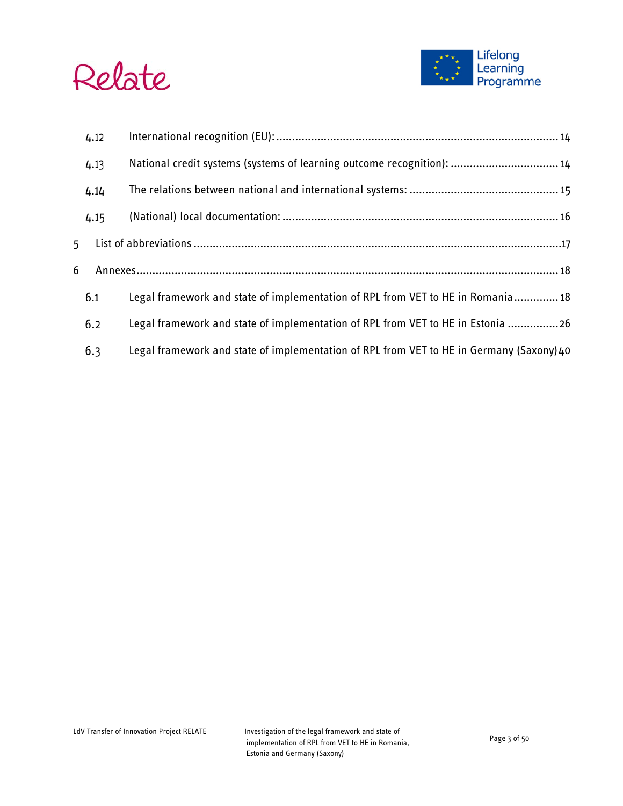



|   | 4.12 |                                                                                          |  |  |
|---|------|------------------------------------------------------------------------------------------|--|--|
|   | 4.13 | National credit systems (systems of learning outcome recognition):  14                   |  |  |
|   | 4.14 |                                                                                          |  |  |
|   | 4.15 |                                                                                          |  |  |
| 5 |      |                                                                                          |  |  |
| 6 |      |                                                                                          |  |  |
|   | 6.1  | Legal framework and state of implementation of RPL from VET to HE in Romania 18          |  |  |
|   | 6.2  | Legal framework and state of implementation of RPL from VET to HE in Estonia 26          |  |  |
|   | 6.3  | Legal framework and state of implementation of RPL from VET to HE in Germany (Saxony) 40 |  |  |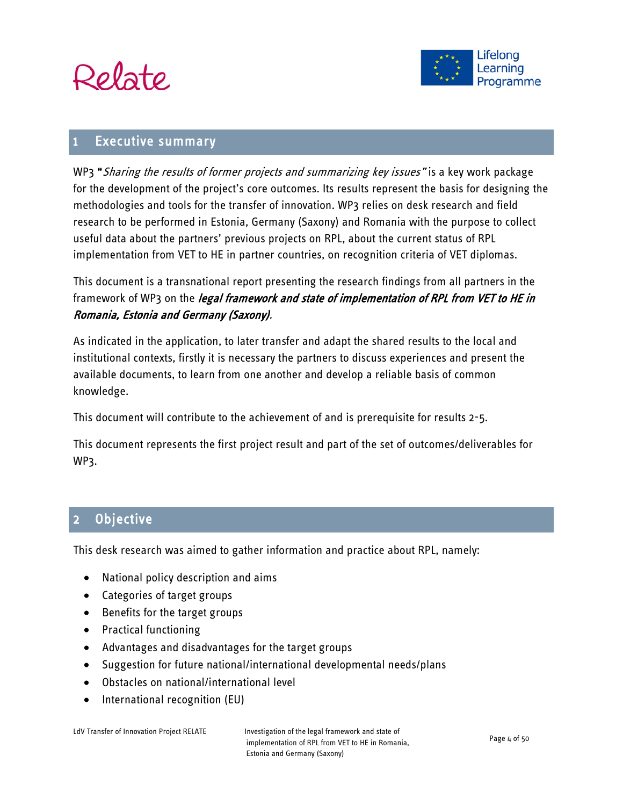



# <span id="page-3-0"></span>**Executive summary**

WP3 "Sharing the results of former projects and summarizing key issues" is a key work package for the development of the project's core outcomes. Its results represent the basis for designing the methodologies and tools for the transfer of innovation. WP3 relies on desk research and field research to be performed in Estonia, Germany (Saxony) and Romania with the purpose to collect useful data about the partners' previous projects on RPL, about the current status of RPL implementation from VET to HE in partner countries, on recognition criteria of VET diplomas.

This document is a transnational report presenting the research findings from all partners in the framework of WP3 on the *legal framework and state of implementation of RPL from VET to HE in* Romania, Estonia and Germany (Saxony).

As indicated in the application, to later transfer and adapt the shared results to the local and institutional contexts, firstly it is necessary the partners to discuss experiences and present the available documents, to learn from one another and develop a reliable basis of common knowledge.

This document will contribute to the achievement of and is prerequisite for results 2-5.

This document represents the first project result and part of the set of outcomes/deliverables for WP3.

# <span id="page-3-1"></span>2 Objective

This desk research was aimed to gather information and practice about RPL, namely:

- National policy description and aims
- Categories of target groups
- Benefits for the target groups
- Practical functioning
- Advantages and disadvantages for the target groups
- Suggestion for future national/international developmental needs/plans
- Obstacles on national/international level
- International recognition (EU)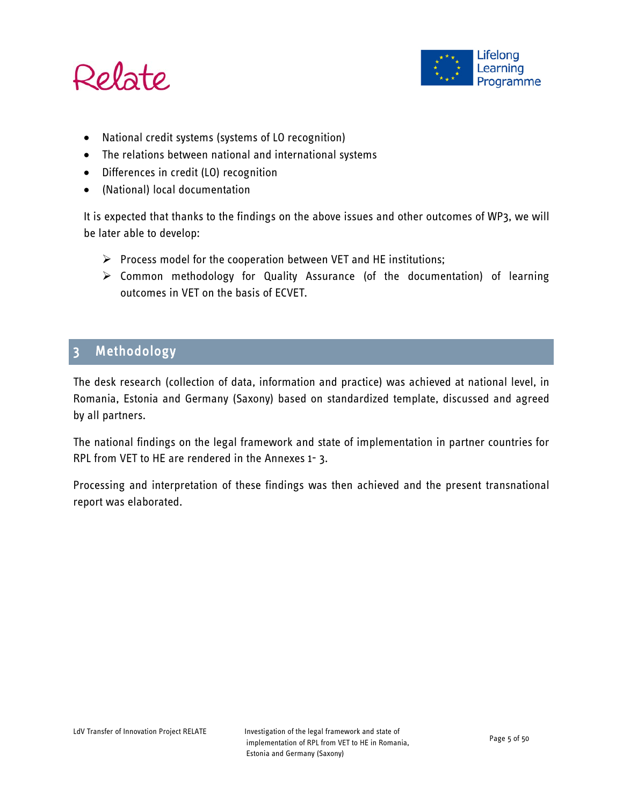



- National credit systems (systems of LO recognition)
- The relations between national and international systems
- Differences in credit (LO) recognition
- (National) local documentation

It is expected that thanks to the findings on the above issues and other outcomes of WP3, we will be later able to develop:

- $\triangleright$  Process model for the cooperation between VET and HE institutions;
- $\triangleright$  Common methodology for Quality Assurance (of the documentation) of learning outcomes in VET on the basis of ECVET.

# <span id="page-4-0"></span>3 Methodology

The desk research (collection of data, information and practice) was achieved at national level, in Romania, Estonia and Germany (Saxony) based on standardized template, discussed and agreed by all partners.

The national findings on the legal framework and state of implementation in partner countries for RPL from VET to HE are rendered in the Annexes 1- 3.

Processing and interpretation of these findings was then achieved and the present transnational report was elaborated.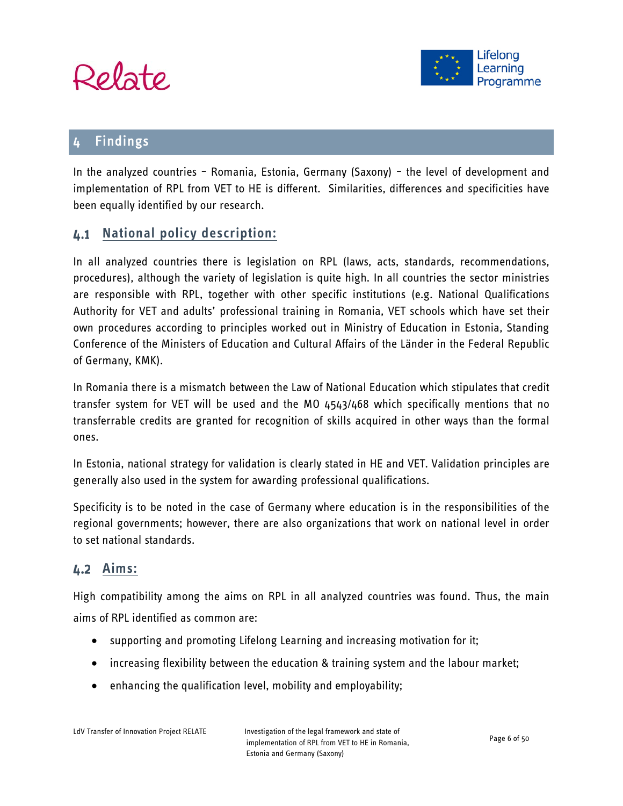



# <span id="page-5-0"></span>4 Findings

In the analyzed countries – Romania, Estonia, Germany (Saxony) – the level of development and implementation of RPL from VET to HE is different. Similarities, differences and specificities have been equally identified by our research.

# <span id="page-5-1"></span>**National policy description:**

In all analyzed countries there is legislation on RPL (laws, acts, standards, recommendations, procedures), although the variety of legislation is quite high. In all countries the sector ministries are responsible with RPL, together with other specific institutions (e.g. National Qualifications Authority for VET and adults' professional training in Romania, VET schools which have set their own procedures according to principles worked out in Ministry of Education in Estonia, Standing Conference of the Ministers of Education and Cultural Affairs of the Länder in the Federal Republic of Germany, KMK).

In Romania there is a mismatch between the Law of National Education which stipulates that credit transfer system for VET will be used and the MO 4543/468 which specifically mentions that no transferrable credits are granted for recognition of skills acquired in other ways than the formal ones.

In Estonia, national strategy for validation is clearly stated in HE and VET. Validation principles are generally also used in the system for awarding professional qualifications.

Specificity is to be noted in the case of Germany where education is in the responsibilities of the regional governments; however, there are also organizations that work on national level in order to set national standards.

# <span id="page-5-2"></span>**Aims:**

High compatibility among the aims on RPL in all analyzed countries was found. Thus, the main aims of RPL identified as common are:

- supporting and promoting Lifelong Learning and increasing motivation for it;
- increasing flexibility between the education & training system and the labour market;
- enhancing the qualification level, mobility and employability;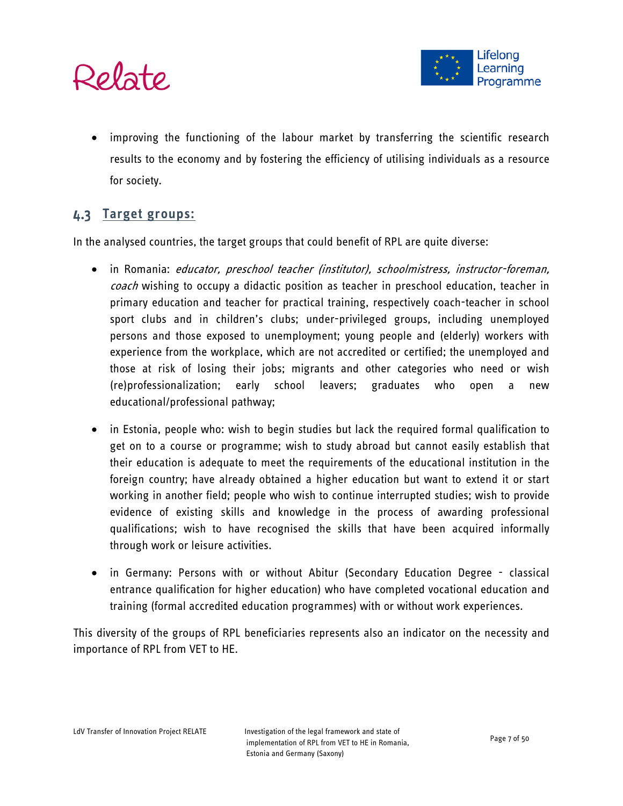

• improving the functioning of the labour market by transferring the scientific research results to the economy and by fostering the efficiency of utilising individuals as a resource for society.

# <span id="page-6-0"></span>**Target groups:**

In the analysed countries, the target groups that could benefit of RPL are quite diverse:

- in Romania: educator, preschool teacher (institutor), schoolmistress, instructor-foreman, coach wishing to occupy a didactic position as teacher in preschool education, teacher in primary education and teacher for practical training, respectively coach-teacher in school sport clubs and in children's clubs; under-privileged groups, including unemployed persons and those exposed to unemployment; young people and (elderly) workers with experience from the workplace, which are not accredited or certified; the unemployed and those at risk of losing their jobs; migrants and other categories who need or wish (re)professionalization; early school leavers; graduates who open a new educational/professional pathway;
- in Estonia, people who: wish to begin studies but lack the required formal qualification to get on to a course or programme; wish to study abroad but cannot easily establish that their education is adequate to meet the requirements of the educational institution in the foreign country; have already obtained a higher education but want to extend it or start working in another field; people who wish to continue interrupted studies; wish to provide evidence of existing skills and knowledge in the process of awarding professional qualifications; wish to have recognised the skills that have been acquired informally through work or leisure activities.
- in Germany: Persons with or without Abitur (Secondary Education Degree classical entrance qualification for higher education) who have completed vocational education and training (formal accredited education programmes) with or without work experiences.

This diversity of the groups of RPL beneficiaries represents also an indicator on the necessity and importance of RPL from VET to HE.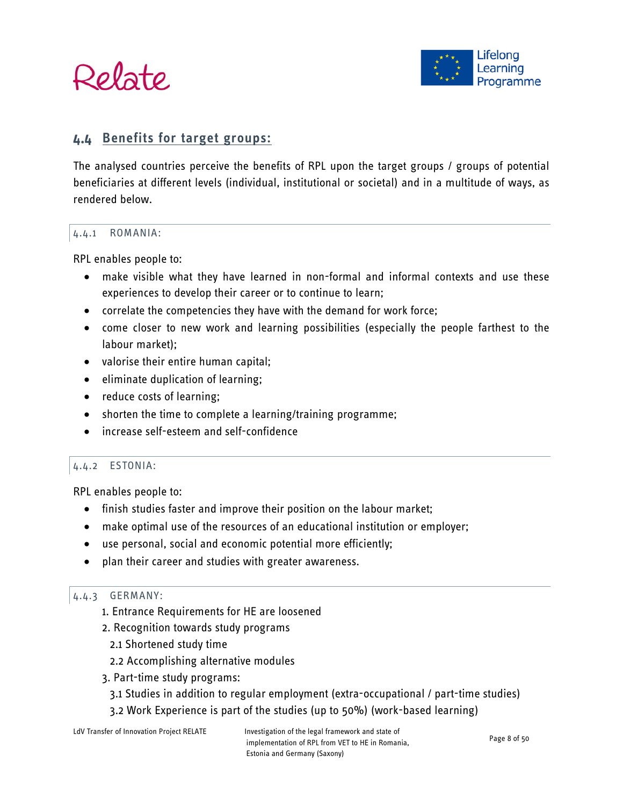



# <span id="page-7-0"></span>**Benefits for target groups:**

The analysed countries perceive the benefits of RPL upon the target groups / groups of potential beneficiaries at different levels (individual, institutional or societal) and in a multitude of ways, as rendered below.

#### <span id="page-7-1"></span>4.4.1 ROMANIA:

RPL enables people to:

- make visible what they have learned in non-formal and informal contexts and use these experiences to develop their career or to continue to learn;
- correlate the competencies they have with the demand for work force;
- come closer to new work and learning possibilities (especially the people farthest to the labour market);
- valorise their entire human capital;
- eliminate duplication of learning;
- reduce costs of learning;
- shorten the time to complete a learning/training programme;
- increase self-esteem and self-confidence

#### <span id="page-7-2"></span>4.4.2 ESTONIA:

RPL enables people to:

- finish studies faster and improve their position on the labour market;
- make optimal use of the resources of an educational institution or employer;
- use personal, social and economic potential more efficiently;
- plan their career and studies with greater awareness.

#### <span id="page-7-3"></span>4.4.3 GERMANY:

- 1. Entrance Requirements for HE are loosened
- 2. Recognition towards study programs
	- 2.1 Shortened study time
	- 2.2 Accomplishing alternative modules
- 3. Part-time study programs:
	- 3.1 Studies in addition to regular employment (extra-occupational / part-time studies)
	- 3.2 Work Experience is part of the studies (up to 50%) (work-based learning)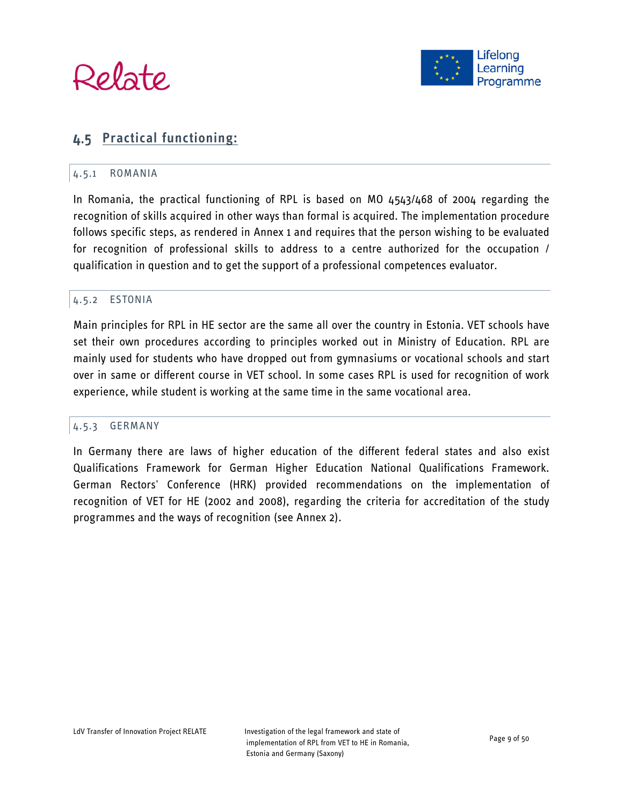



# <span id="page-8-1"></span><span id="page-8-0"></span>**Practical functioning:**

#### 4.5.1 ROMANIA

In Romania, the practical functioning of RPL is based on MO 4543/468 of 2004 regarding the recognition of skills acquired in other ways than formal is acquired. The implementation procedure follows specific steps, as rendered in Annex 1 and requires that the person wishing to be evaluated for recognition of professional skills to address to a centre authorized for the occupation / qualification in question and to get the support of a professional competences evaluator.

#### <span id="page-8-2"></span>4.5.2 ESTONIA

Main principles for RPL in HE sector are the same all over the country in Estonia. VET schools have set their own procedures according to principles worked out in Ministry of Education. RPL are mainly used for students who have dropped out from gymnasiums or vocational schools and start over in same or different course in VET school. In some cases RPL is used for recognition of work experience, while student is working at the same time in the same vocational area.

#### <span id="page-8-3"></span>4.5.3 GERMANY

In Germany there are laws of higher education of the different federal states and also exist Qualifications Framework for German Higher Education National Qualifications Framework. German Rectors' Conference (HRK) provided recommendations on the implementation of recognition of VET for HE (2002 and 2008), regarding the criteria for accreditation of the study programmes and the ways of recognition (see Annex 2).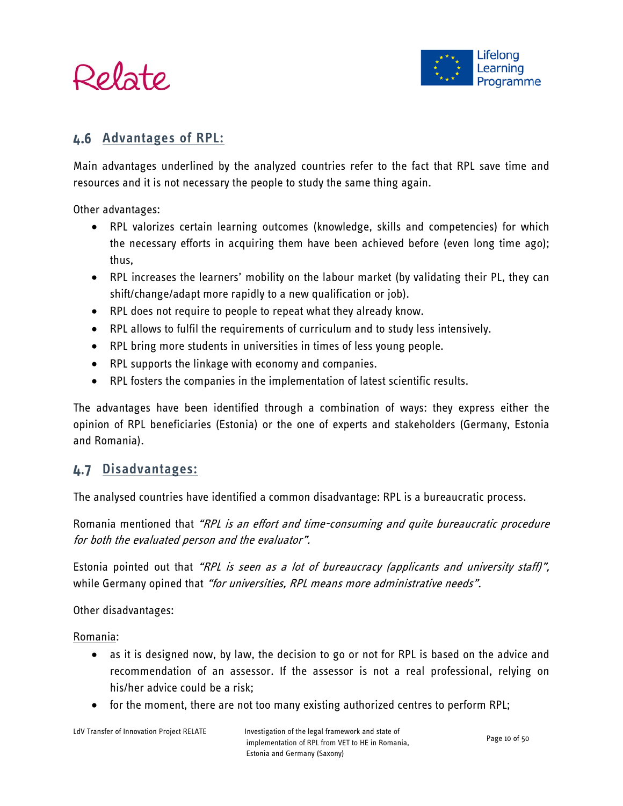

# <span id="page-9-0"></span>**Advantages of RPL:**

Main advantages underlined by the analyzed countries refer to the fact that RPL save time and resources and it is not necessary the people to study the same thing again.

Other advantages:

- RPL valorizes certain learning outcomes (knowledge, skills and competencies) for which the necessary efforts in acquiring them have been achieved before (even long time ago); thus,
- RPL increases the learners' mobility on the labour market (by validating their PL, they can shift/change/adapt more rapidly to a new qualification or job).
- RPL does not require to people to repeat what they already know.
- RPL allows to fulfil the requirements of curriculum and to study less intensively.
- RPL bring more students in universities in times of less young people.
- RPL supports the linkage with economy and companies.
- RPL fosters the companies in the implementation of latest scientific results.

The advantages have been identified through a combination of ways: they express either the opinion of RPL beneficiaries (Estonia) or the one of experts and stakeholders (Germany, Estonia and Romania).

# <span id="page-9-1"></span>**Disadvantages:**

The analysed countries have identified a common disadvantage: RPL is a bureaucratic process.

Romania mentioned that "RPL is an effort and time-consuming and quite bureaucratic procedure for both the evaluated person and the evaluator".

Estonia pointed out that "RPL is seen as a lot of bureaucracy (applicants and university staff)", while Germany opined that "for universities, RPL means more administrative needs".

Other disadvantages:

Romania:

- as it is designed now, by law, the decision to go or not for RPL is based on the advice and recommendation of an assessor. If the assessor is not a real professional, relying on his/her advice could be a risk;
- for the moment, there are not too many existing authorized centres to perform RPL;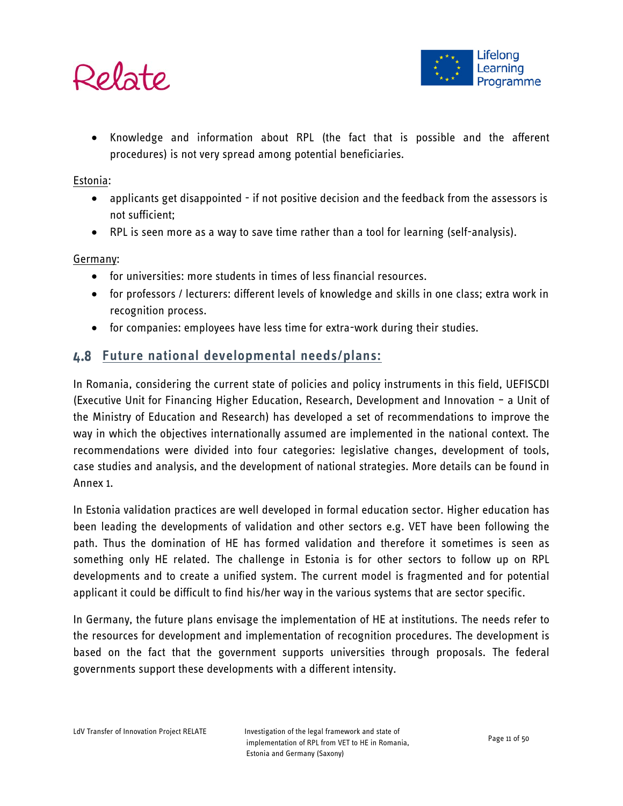

• Knowledge and information about RPL (the fact that is possible and the afferent procedures) is not very spread among potential beneficiaries.

#### Estonia:

- applicants get disappointed if not positive decision and the feedback from the assessors is not sufficient;
- RPL is seen more as a way to save time rather than a tool for learning (self-analysis).

## Germany:

- for universities: more students in times of less financial resources.
- for professors / lecturers: different levels of knowledge and skills in one class; extra work in recognition process.
- for companies: employees have less time for extra-work during their studies.

# <span id="page-10-0"></span>**Future national developmental needs/plans:**

In Romania, considering the current state of policies and policy instruments in this field, UEFISCDI (Executive Unit for Financing Higher Education, Research, Development and Innovation – a Unit of the Ministry of Education and Research) has developed a set of recommendations to improve the way in which the objectives internationally assumed are implemented in the national context. The recommendations were divided into four categories: legislative changes, development of tools, case studies and analysis, and the development of national strategies. More details can be found in Annex 1.

In Estonia validation practices are well developed in formal education sector. Higher education has been leading the developments of validation and other sectors e.g. VET have been following the path. Thus the domination of HE has formed validation and therefore it sometimes is seen as something only HE related. The challenge in Estonia is for other sectors to follow up on RPL developments and to create a unified system. The current model is fragmented and for potential applicant it could be difficult to find his/her way in the various systems that are sector specific.

In Germany, the future plans envisage the implementation of HE at institutions. The needs refer to the resources for development and implementation of recognition procedures. The development is based on the fact that the government supports universities through proposals. The federal governments support these developments with a different intensity.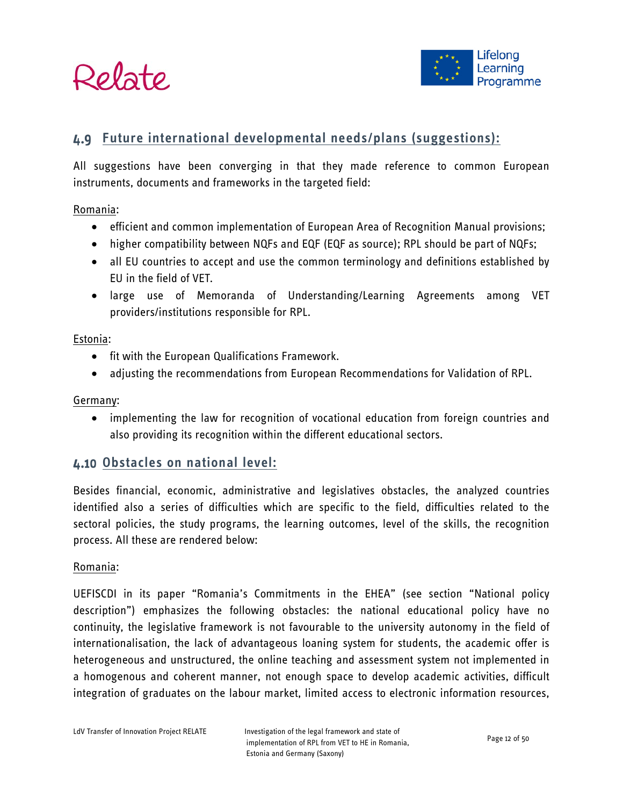



# <span id="page-11-0"></span>**Future international developmental needs/plans (suggestions):**

All suggestions have been converging in that they made reference to common European instruments, documents and frameworks in the targeted field:

Romania:

- efficient and common implementation of European Area of Recognition Manual provisions;
- higher compatibility between NQFs and EQF (EQF as source); RPL should be part of NQFs;
- all EU countries to accept and use the common terminology and definitions established by EU in the field of VET.
- large use of Memoranda of Understanding/Learning Agreements among VET providers/institutions responsible for RPL.

Estonia:

- fit with the European Qualifications Framework.
- adjusting the recommendations from European Recommendations for Validation of RPL.

Germany:

• implementing the law for recognition of vocational education from foreign countries and also providing its recognition within the different educational sectors.

# <span id="page-11-1"></span>**Obstacles on national level:**

Besides financial, economic, administrative and legislatives obstacles, the analyzed countries identified also a series of difficulties which are specific to the field, difficulties related to the sectoral policies, the study programs, the learning outcomes, level of the skills, the recognition process. All these are rendered below:

#### Romania:

UEFISCDI in its paper "Romania's Commitments in the EHEA" (see section "National policy description") emphasizes the following obstacles: the national educational policy have no continuity, the legislative framework is not favourable to the university autonomy in the field of internationalisation, the lack of advantageous loaning system for students, the academic offer is heterogeneous and unstructured, the online teaching and assessment system not implemented in a homogenous and coherent manner, not enough space to develop academic activities, difficult integration of graduates on the labour market, limited access to electronic information resources,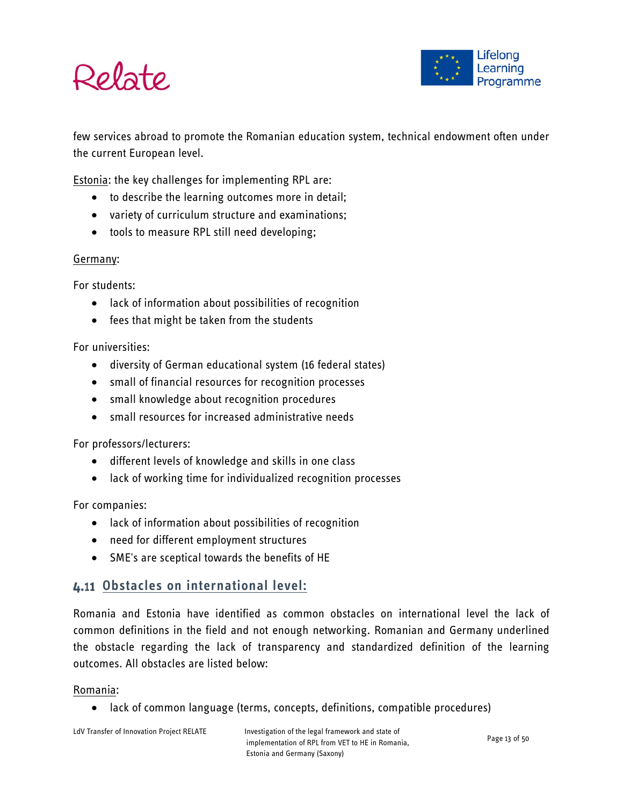



few services abroad to promote the Romanian education system, technical endowment often under the current European level.

Estonia: the key challenges for implementing RPL are:

- to describe the learning outcomes more in detail;
- variety of curriculum structure and examinations;
- tools to measure RPL still need developing;

#### Germany:

For students:

- lack of information about possibilities of recognition
- fees that might be taken from the students

For universities:

- diversity of German educational system (16 federal states)
- small of financial resources for recognition processes
- small knowledge about recognition procedures
- small resources for increased administrative needs

For professors/lecturers:

- different levels of knowledge and skills in one class
- lack of working time for individualized recognition processes

For companies:

- lack of information about possibilities of recognition
- need for different employment structures
- SME's are sceptical towards the benefits of HE

# <span id="page-12-0"></span>**Obstacles on international level:**

Romania and Estonia have identified as common obstacles on international level the lack of common definitions in the field and not enough networking. Romanian and Germany underlined the obstacle regarding the lack of transparency and standardized definition of the learning outcomes. All obstacles are listed below:

#### Romania:

• lack of common language (terms, concepts, definitions, compatible procedures)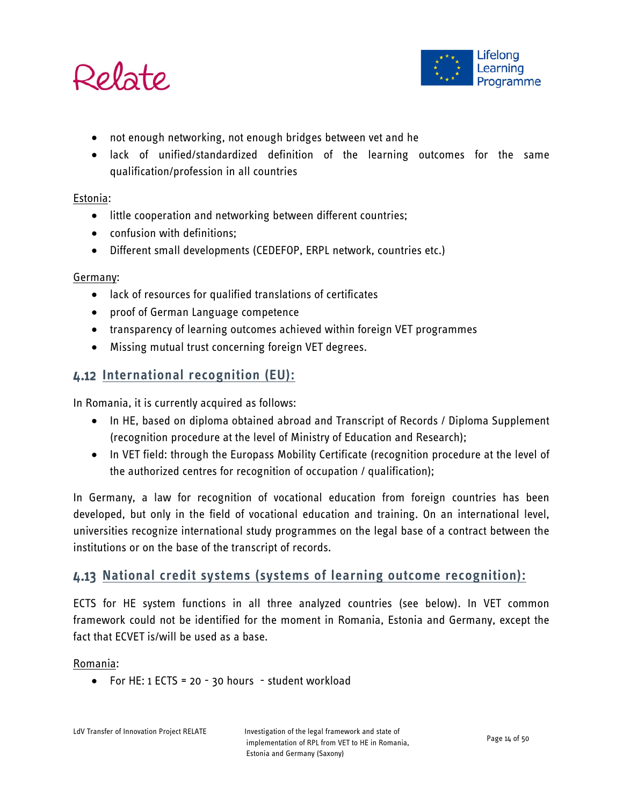



- not enough networking, not enough bridges between vet and he
- lack of unified/standardized definition of the learning outcomes for the same qualification/profession in all countries

#### Estonia:

- little cooperation and networking between different countries;
- confusion with definitions;
- Different small developments (CEDEFOP, ERPL network, countries etc.)

#### Germany:

- lack of resources for qualified translations of certificates
- proof of German Language competence
- transparency of learning outcomes achieved within foreign VET programmes
- Missing mutual trust concerning foreign VET degrees.

# <span id="page-13-0"></span>**International recognition (EU):**

In Romania, it is currently acquired as follows:

- In HE, based on diploma obtained abroad and Transcript of Records / Diploma Supplement (recognition procedure at the level of Ministry of Education and Research);
- In VET field: through the Europass Mobility Certificate (recognition procedure at the level of the authorized centres for recognition of occupation / qualification);

In Germany, a law for recognition of vocational education from foreign countries has been developed, but only in the field of vocational education and training. On an international level, universities recognize international study programmes on the legal base of a contract between the institutions or on the base of the transcript of records.

# <span id="page-13-1"></span>**National credit systems (systems of learning outcome recognition):**

ECTS for HE system functions in all three analyzed countries (see below). In VET common framework could not be identified for the moment in Romania, Estonia and Germany, except the fact that ECVET is/will be used as a base.

#### Romania:

• For HE: 1 ECTS = 20 - 30 hours - student workload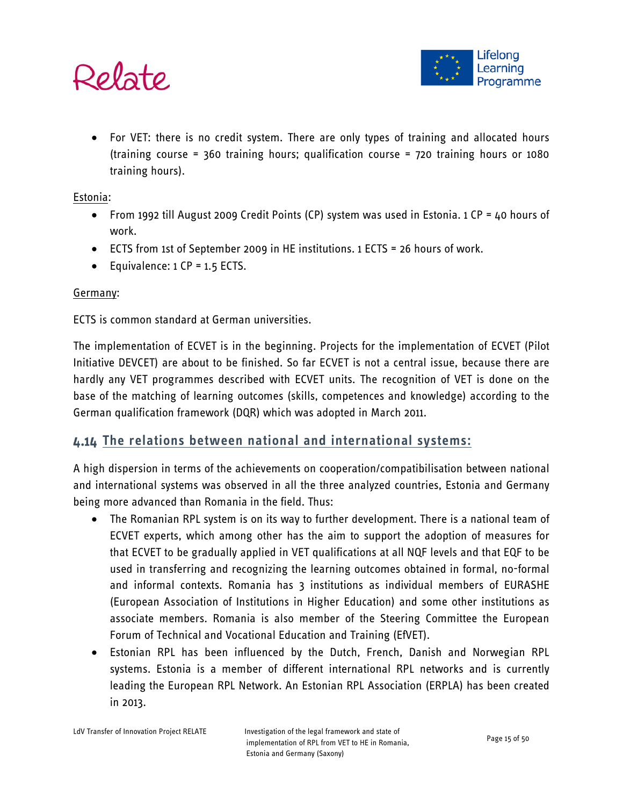

• For VET: there is no credit system. There are only types of training and allocated hours (training course = 360 training hours; qualification course = 720 training hours or 1080 training hours).

Estonia:

- From 1992 till August 2009 Credit Points (CP) system was used in Estonia. 1 CP = 40 hours of work.
- ECTS from 1st of September 2009 in HE institutions. 1 ECTS = 26 hours of work.
- Equivalence: 1 CP = 1.5 ECTS.

## Germany:

ECTS is common standard at German universities.

The implementation of ECVET is in the beginning. Projects for the implementation of ECVET (Pilot Initiative DEVCET) are about to be finished. So far ECVET is not a central issue, because there are hardly any VET programmes described with ECVET units. The recognition of VET is done on the base of the matching of learning outcomes (skills, competences and knowledge) according to the German qualification framework (DQR) which was adopted in March 2011.

# <span id="page-14-0"></span>**The relations between national and international systems:**

A high dispersion in terms of the achievements on cooperation/compatibilisation between national and international systems was observed in all the three analyzed countries, Estonia and Germany being more advanced than Romania in the field. Thus:

- The Romanian RPL system is on its way to further development. There is a national team of ECVET experts, which among other has the aim to support the adoption of measures for that ECVET to be gradually applied in VET qualifications at all NQF levels and that EQF to be used in transferring and recognizing the learning outcomes obtained in formal, no-formal and informal contexts. Romania has 3 institutions as individual members of EURASHE (European Association of Institutions in Higher Education) and some other institutions as associate members. Romania is also member of the Steering Committee the European Forum of Technical and Vocational Education and Training (EfVET).
- Estonian RPL has been influenced by the Dutch, French, Danish and Norwegian RPL systems. Estonia is a member of different international RPL networks and is currently leading the European RPL Network. An Estonian RPL Association (ERPLA) has been created in 2013.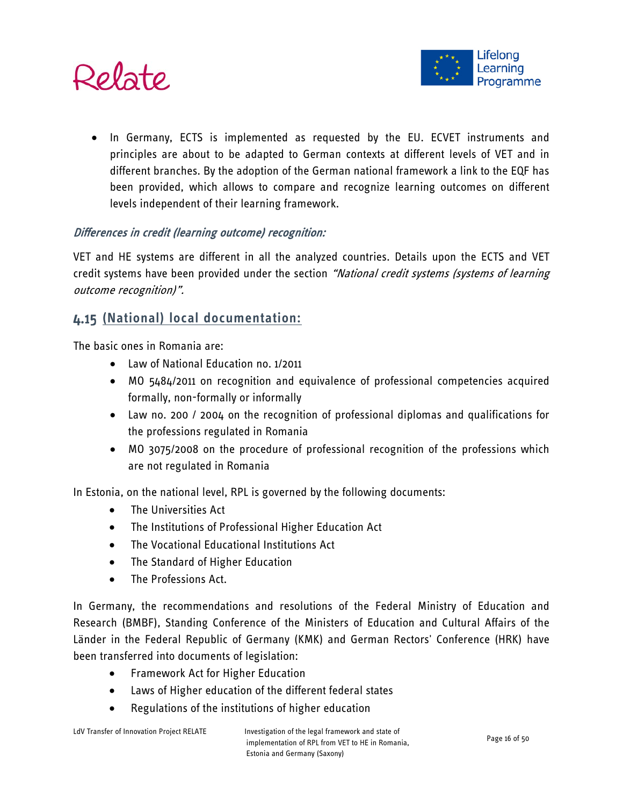

• In Germany, ECTS is implemented as requested by the EU. ECVET instruments and principles are about to be adapted to German contexts at different levels of VET and in different branches. By the adoption of the German national framework a link to the EQF has been provided, which allows to compare and recognize learning outcomes on different levels independent of their learning framework.

# Differences in credit (learning outcome) recognition:

VET and HE systems are different in all the analyzed countries. Details upon the ECTS and VET credit systems have been provided under the section "National credit systems (systems of learning outcome recognition)".

# <span id="page-15-0"></span>**(National) local documentation:**

The basic ones in Romania are:

- Law of National Education no. 1/2011
- MO 5484/2011 on recognition and equivalence of professional competencies acquired formally, non-formally or informally
- Law no. 200 / 2004 on the recognition of professional diplomas and qualifications for the professions regulated in Romania
- MO 3075/2008 on the procedure of professional recognition of the professions which are not regulated in Romania

In Estonia, on the national level, RPL is governed by the following documents:

- The Universities Act
- The Institutions of Professional Higher Education Act
- The Vocational Educational Institutions Act
- The Standard of Higher Education
- The Professions Act.

In Germany, the recommendations and resolutions of the Federal Ministry of Education and Research (BMBF), Standing Conference of the Ministers of Education and Cultural Affairs of the Länder in the Federal Republic of Germany (KMK) and German Rectors' Conference (HRK) have been transferred into documents of legislation:

- Framework Act for Higher Education
- Laws of Higher education of the different federal states
- Regulations of the institutions of higher education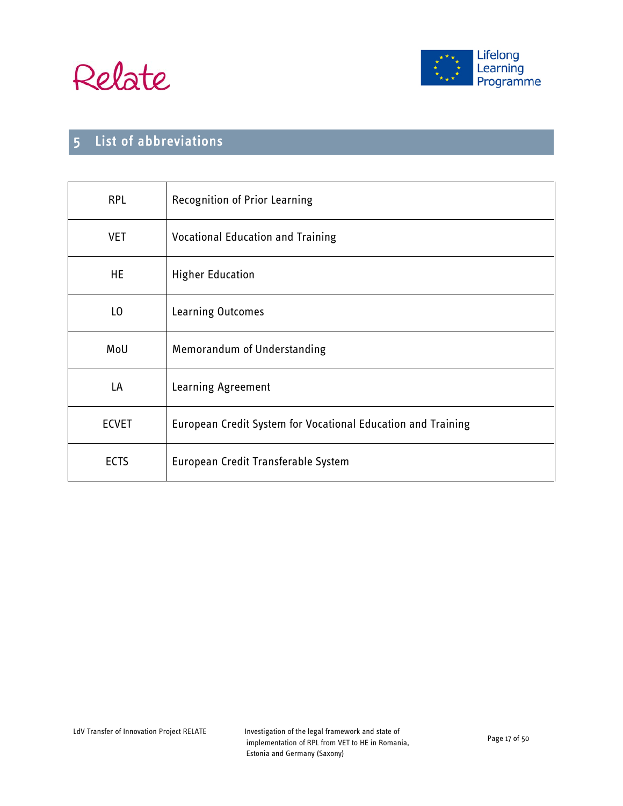



# <span id="page-16-0"></span>5 List of abbreviations

| <b>RPL</b>   | <b>Recognition of Prior Learning</b>                         |
|--------------|--------------------------------------------------------------|
| <b>VET</b>   | <b>Vocational Education and Training</b>                     |
| HE           | <b>Higher Education</b>                                      |
| LO           | Learning Outcomes                                            |
| MoU          | Memorandum of Understanding                                  |
| LA           | Learning Agreement                                           |
| <b>ECVET</b> | European Credit System for Vocational Education and Training |
| <b>ECTS</b>  | European Credit Transferable System                          |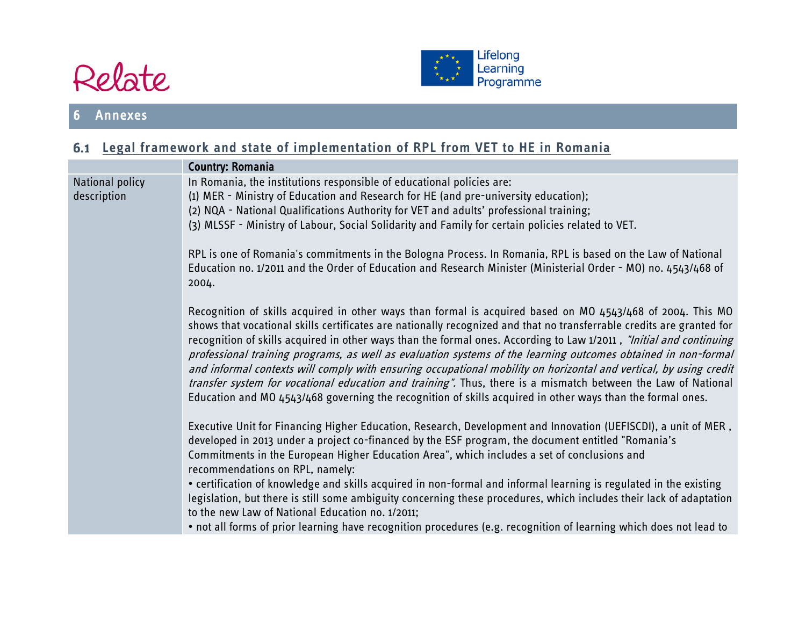



# **Legal framework and state of implementation of RPL from VET to HE in Romania**

<span id="page-17-1"></span><span id="page-17-0"></span>

|                                | <b>Country: Romania</b>                                                                                                                                                                                                                                                                                                                                                                                                                                                                                                                                                                                                                                                                                                                                                                                                         |
|--------------------------------|---------------------------------------------------------------------------------------------------------------------------------------------------------------------------------------------------------------------------------------------------------------------------------------------------------------------------------------------------------------------------------------------------------------------------------------------------------------------------------------------------------------------------------------------------------------------------------------------------------------------------------------------------------------------------------------------------------------------------------------------------------------------------------------------------------------------------------|
| National policy<br>description | In Romania, the institutions responsible of educational policies are:<br>(1) MER - Ministry of Education and Research for HE (and pre-university education);<br>(2) NQA - National Qualifications Authority for VET and adults' professional training;<br>(3) MLSSF - Ministry of Labour, Social Solidarity and Family for certain policies related to VET.<br>RPL is one of Romania's commitments in the Bologna Process. In Romania, RPL is based on the Law of National<br>Education no. 1/2011 and the Order of Education and Research Minister (Ministerial Order - MO) no. 4543/468 of<br>2004.                                                                                                                                                                                                                           |
|                                | Recognition of skills acquired in other ways than formal is acquired based on MO 4543/468 of 2004. This MO<br>shows that vocational skills certificates are nationally recognized and that no transferrable credits are granted for<br>recognition of skills acquired in other ways than the formal ones. According to Law 1/2011, "Initial and continuing<br>professional training programs, as well as evaluation systems of the learning outcomes obtained in non-formal<br>and informal contexts will comply with ensuring occupational mobility on horizontal and vertical, by using credit<br>transfer system for vocational education and training". Thus, there is a mismatch between the Law of National<br>Education and MO 4543/468 governing the recognition of skills acquired in other ways than the formal ones. |
|                                | Executive Unit for Financing Higher Education, Research, Development and Innovation (UEFISCDI), a unit of MER,<br>developed in 2013 under a project co-financed by the ESF program, the document entitled "Romania's<br>Commitments in the European Higher Education Area", which includes a set of conclusions and<br>recommendations on RPL, namely:<br>• certification of knowledge and skills acquired in non-formal and informal learning is regulated in the existing<br>legislation, but there is still some ambiguity concerning these procedures, which includes their lack of adaptation<br>to the new Law of National Education no. 1/2011;<br>. not all forms of prior learning have recognition procedures (e.g. recognition of learning which does not lead to                                                    |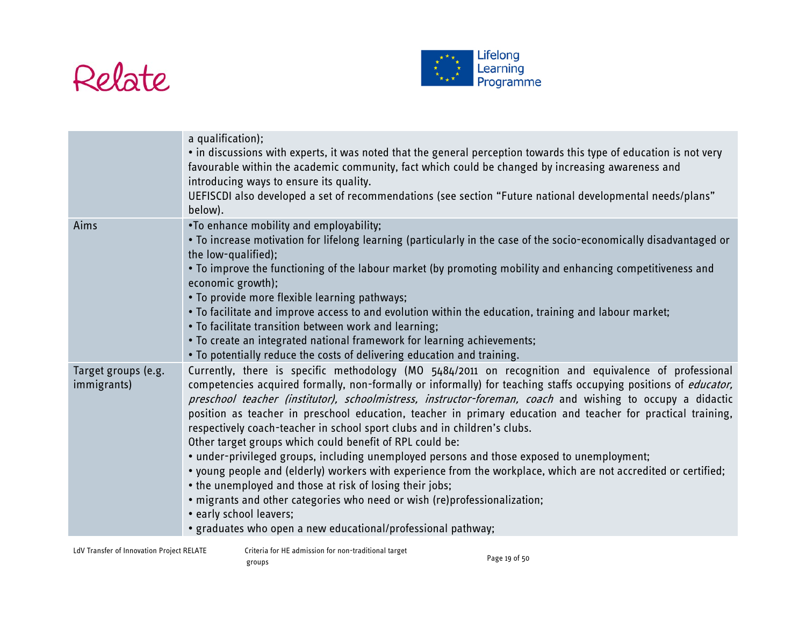



|                                    | a qualification);<br>• in discussions with experts, it was noted that the general perception towards this type of education is not very<br>favourable within the academic community, fact which could be changed by increasing awareness and<br>introducing ways to ensure its quality.<br>UEFISCDI also developed a set of recommendations (see section "Future national developmental needs/plans"<br>below).                                                                                                                                                                                                                                                                                                                                                                                                                                                                                                                                                                                                                                               |
|------------------------------------|---------------------------------------------------------------------------------------------------------------------------------------------------------------------------------------------------------------------------------------------------------------------------------------------------------------------------------------------------------------------------------------------------------------------------------------------------------------------------------------------------------------------------------------------------------------------------------------------------------------------------------------------------------------------------------------------------------------------------------------------------------------------------------------------------------------------------------------------------------------------------------------------------------------------------------------------------------------------------------------------------------------------------------------------------------------|
| Aims                               | .To enhance mobility and employability;<br>. To increase motivation for lifelong learning (particularly in the case of the socio-economically disadvantaged or<br>the low-qualified);<br>• To improve the functioning of the labour market (by promoting mobility and enhancing competitiveness and<br>economic growth);<br>. To provide more flexible learning pathways;<br>. To facilitate and improve access to and evolution within the education, training and labour market;<br>. To facilitate transition between work and learning;<br>. To create an integrated national framework for learning achievements;<br>. To potentially reduce the costs of delivering education and training.                                                                                                                                                                                                                                                                                                                                                             |
| Target groups (e.g.<br>immigrants) | Currently, there is specific methodology (MO 5484/2011 on recognition and equivalence of professional<br>competencies acquired formally, non-formally or informally) for teaching staffs occupying positions of <i>educator</i> ,<br>preschool teacher (institutor), schoolmistress, instructor-foreman, coach and wishing to occupy a didactic<br>position as teacher in preschool education, teacher in primary education and teacher for practical training,<br>respectively coach-teacher in school sport clubs and in children's clubs.<br>Other target groups which could benefit of RPL could be:<br>• under-privileged groups, including unemployed persons and those exposed to unemployment;<br>• young people and (elderly) workers with experience from the workplace, which are not accredited or certified;<br>• the unemployed and those at risk of losing their jobs;<br>. migrants and other categories who need or wish (re)professionalization;<br>• early school leavers;<br>• graduates who open a new educational/professional pathway; |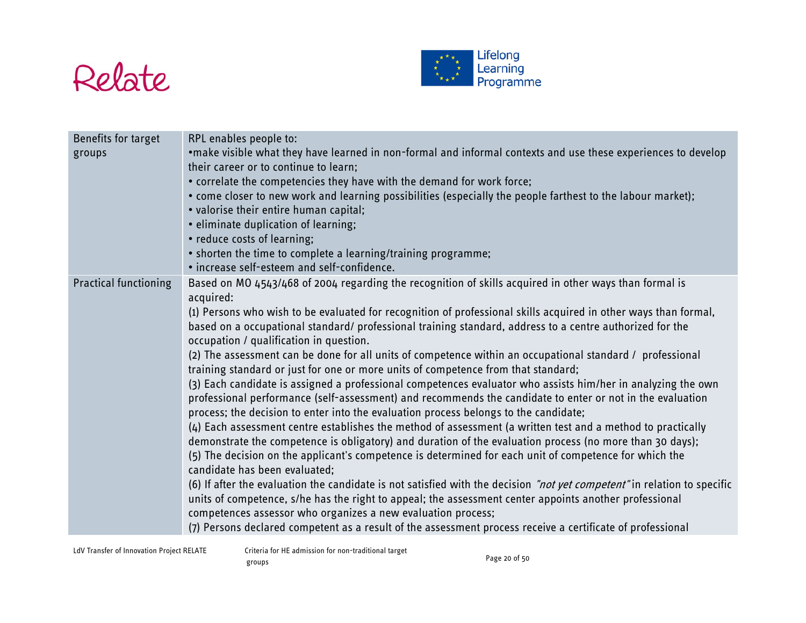



| Benefits for target          | RPL enables people to:                                                                                                                                                                                                                                                                                            |
|------------------------------|-------------------------------------------------------------------------------------------------------------------------------------------------------------------------------------------------------------------------------------------------------------------------------------------------------------------|
| groups                       | •make visible what they have learned in non-formal and informal contexts and use these experiences to develop                                                                                                                                                                                                     |
|                              | their career or to continue to learn;                                                                                                                                                                                                                                                                             |
|                              | • correlate the competencies they have with the demand for work force;                                                                                                                                                                                                                                            |
|                              | • come closer to new work and learning possibilities (especially the people farthest to the labour market);                                                                                                                                                                                                       |
|                              | • valorise their entire human capital;                                                                                                                                                                                                                                                                            |
|                              | • eliminate duplication of learning;                                                                                                                                                                                                                                                                              |
|                              | • reduce costs of learning;                                                                                                                                                                                                                                                                                       |
|                              | • shorten the time to complete a learning/training programme;                                                                                                                                                                                                                                                     |
|                              | . increase self-esteem and self-confidence.                                                                                                                                                                                                                                                                       |
| <b>Practical functioning</b> | Based on MO 4543/468 of 2004 regarding the recognition of skills acquired in other ways than formal is<br>acquired:                                                                                                                                                                                               |
|                              | (1) Persons who wish to be evaluated for recognition of professional skills acquired in other ways than formal,                                                                                                                                                                                                   |
|                              | based on a occupational standard/ professional training standard, address to a centre authorized for the<br>occupation / qualification in question.                                                                                                                                                               |
|                              | (2) The assessment can be done for all units of competence within an occupational standard / professional                                                                                                                                                                                                         |
|                              | training standard or just for one or more units of competence from that standard;                                                                                                                                                                                                                                 |
|                              | (3) Each candidate is assigned a professional competences evaluator who assists him/her in analyzing the own<br>professional performance (self-assessment) and recommends the candidate to enter or not in the evaluation<br>process; the decision to enter into the evaluation process belongs to the candidate; |
|                              | (4) Each assessment centre establishes the method of assessment (a written test and a method to practically                                                                                                                                                                                                       |
|                              | demonstrate the competence is obligatory) and duration of the evaluation process (no more than 30 days);                                                                                                                                                                                                          |
|                              | (5) The decision on the applicant's competence is determined for each unit of competence for which the                                                                                                                                                                                                            |
|                              | candidate has been evaluated;                                                                                                                                                                                                                                                                                     |
|                              | (6) If after the evaluation the candidate is not satisfied with the decision "not yet competent" in relation to specific                                                                                                                                                                                          |
|                              | units of competence, s/he has the right to appeal; the assessment center appoints another professional                                                                                                                                                                                                            |
|                              | competences assessor who organizes a new evaluation process;                                                                                                                                                                                                                                                      |
|                              | (7) Persons declared competent as a result of the assessment process receive a certificate of professional                                                                                                                                                                                                        |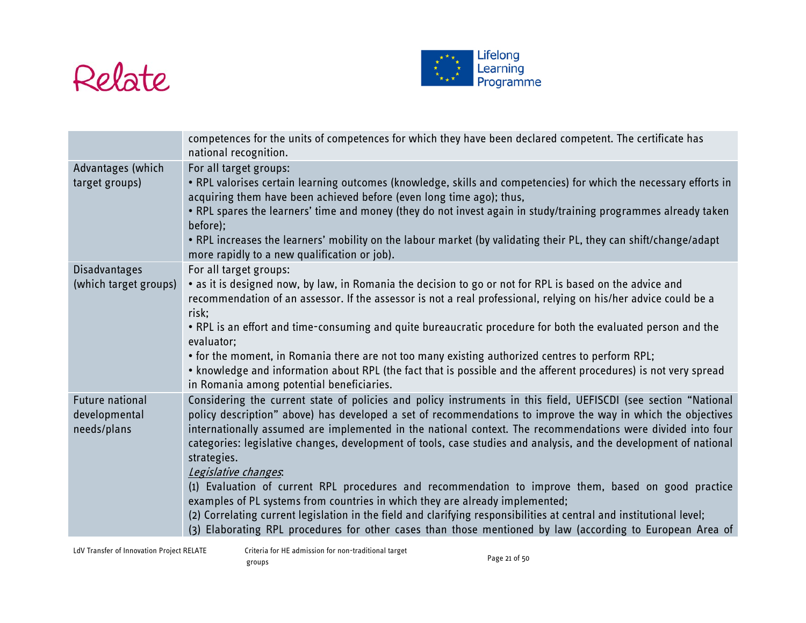



|                                                        | competences for the units of competences for which they have been declared competent. The certificate has<br>national recognition.                                                                                                                                                                                                                                                                                                                                                                                                                                                                                                                                                                                                                                                                                                                                                                                                     |
|--------------------------------------------------------|----------------------------------------------------------------------------------------------------------------------------------------------------------------------------------------------------------------------------------------------------------------------------------------------------------------------------------------------------------------------------------------------------------------------------------------------------------------------------------------------------------------------------------------------------------------------------------------------------------------------------------------------------------------------------------------------------------------------------------------------------------------------------------------------------------------------------------------------------------------------------------------------------------------------------------------|
| Advantages (which<br>target groups)                    | For all target groups:<br>. RPL valorises certain learning outcomes (knowledge, skills and competencies) for which the necessary efforts in<br>acquiring them have been achieved before (even long time ago); thus,<br>. RPL spares the learners' time and money (they do not invest again in study/training programmes already taken<br>before);<br>. RPL increases the learners' mobility on the labour market (by validating their PL, they can shift/change/adapt<br>more rapidly to a new qualification or job).                                                                                                                                                                                                                                                                                                                                                                                                                  |
| <b>Disadvantages</b><br>(which target groups)          | For all target groups:<br>• as it is designed now, by law, in Romania the decision to go or not for RPL is based on the advice and<br>recommendation of an assessor. If the assessor is not a real professional, relying on his/her advice could be a<br>risk:<br>. RPL is an effort and time-consuming and quite bureaucratic procedure for both the evaluated person and the<br>evaluator;<br>• for the moment, in Romania there are not too many existing authorized centres to perform RPL;<br>• knowledge and information about RPL (the fact that is possible and the afferent procedures) is not very spread<br>in Romania among potential beneficiaries.                                                                                                                                                                                                                                                                       |
| <b>Future national</b><br>developmental<br>needs/plans | Considering the current state of policies and policy instruments in this field, UEFISCDI (see section "National<br>policy description" above) has developed a set of recommendations to improve the way in which the objectives<br>internationally assumed are implemented in the national context. The recommendations were divided into four<br>categories: legislative changes, development of tools, case studies and analysis, and the development of national<br>strategies.<br>Legislative changes.<br>(1) Evaluation of current RPL procedures and recommendation to improve them, based on good practice<br>examples of PL systems from countries in which they are already implemented;<br>(2) Correlating current legislation in the field and clarifying responsibilities at central and institutional level;<br>(3) Elaborating RPL procedures for other cases than those mentioned by law (according to European Area of |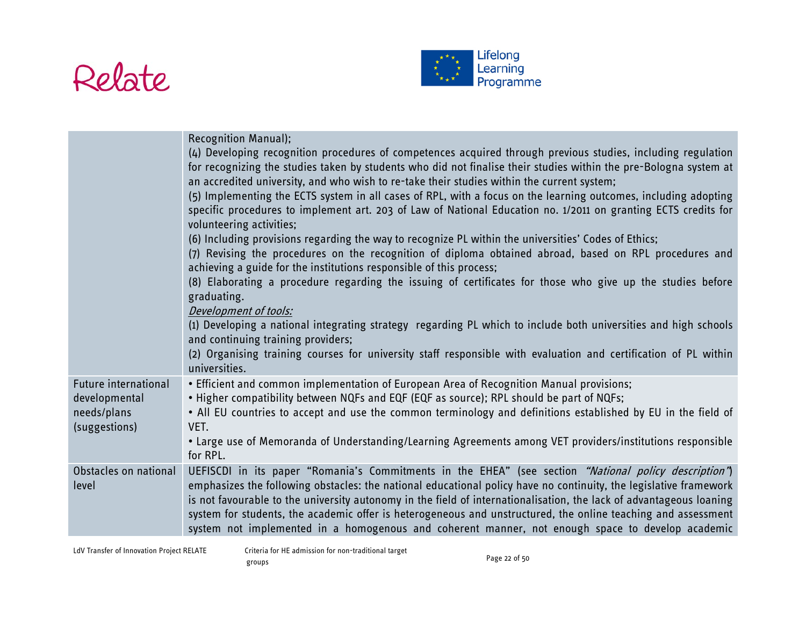



|                                                                       | <b>Recognition Manual);</b><br>(4) Developing recognition procedures of competences acquired through previous studies, including regulation<br>for recognizing the studies taken by students who did not finalise their studies within the pre-Bologna system at<br>an accredited university, and who wish to re-take their studies within the current system;<br>(5) Implementing the ECTS system in all cases of RPL, with a focus on the learning outcomes, including adopting<br>specific procedures to implement art. 203 of Law of National Education no. 1/2011 on granting ECTS credits for<br>volunteering activities;<br>(6) Including provisions regarding the way to recognize PL within the universities' Codes of Ethics;<br>(7) Revising the procedures on the recognition of diploma obtained abroad, based on RPL procedures and<br>achieving a guide for the institutions responsible of this process;<br>(8) Elaborating a procedure regarding the issuing of certificates for those who give up the studies before<br>graduating.<br>Development of tools:<br>(1) Developing a national integrating strategy regarding PL which to include both universities and high schools<br>and continuing training providers;<br>(2) Organising training courses for university staff responsible with evaluation and certification of PL within<br>universities. |
|-----------------------------------------------------------------------|-----------------------------------------------------------------------------------------------------------------------------------------------------------------------------------------------------------------------------------------------------------------------------------------------------------------------------------------------------------------------------------------------------------------------------------------------------------------------------------------------------------------------------------------------------------------------------------------------------------------------------------------------------------------------------------------------------------------------------------------------------------------------------------------------------------------------------------------------------------------------------------------------------------------------------------------------------------------------------------------------------------------------------------------------------------------------------------------------------------------------------------------------------------------------------------------------------------------------------------------------------------------------------------------------------------------------------------------------------------------------------|
| Future international<br>developmental<br>needs/plans<br>(suggestions) | . Efficient and common implementation of European Area of Recognition Manual provisions;<br>• Higher compatibility between NQFs and EQF (EQF as source); RPL should be part of NQFs;<br>• All EU countries to accept and use the common terminology and definitions established by EU in the field of<br>VET.<br>. Large use of Memoranda of Understanding/Learning Agreements among VET providers/institutions responsible<br>for RPL.                                                                                                                                                                                                                                                                                                                                                                                                                                                                                                                                                                                                                                                                                                                                                                                                                                                                                                                                     |
| Obstacles on national<br>level                                        | UEFISCDI in its paper "Romania's Commitments in the EHEA" (see section "National policy description")<br>emphasizes the following obstacles: the national educational policy have no continuity, the legislative framework<br>is not favourable to the university autonomy in the field of internationalisation, the lack of advantageous loaning<br>system for students, the academic offer is heterogeneous and unstructured, the online teaching and assessment<br>system not implemented in a homogenous and coherent manner, not enough space to develop academic                                                                                                                                                                                                                                                                                                                                                                                                                                                                                                                                                                                                                                                                                                                                                                                                      |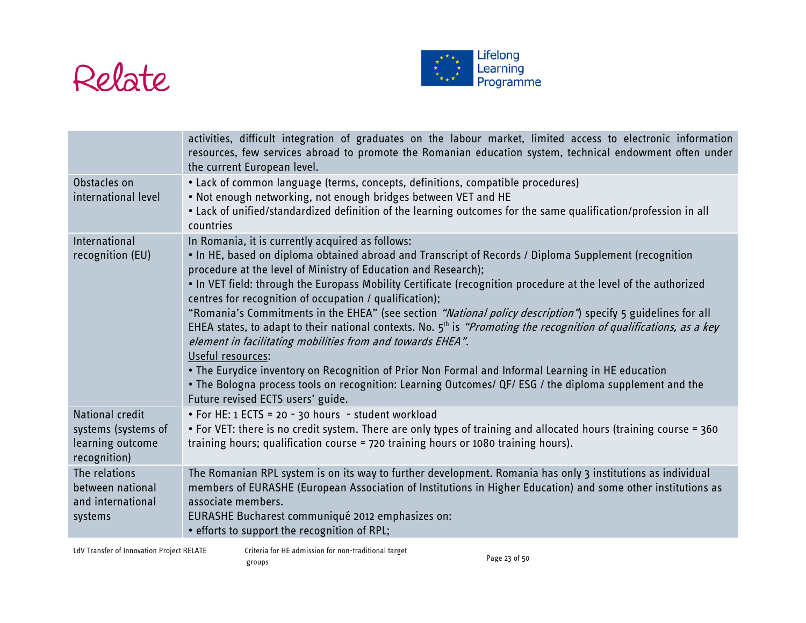



|                                                                                   | activities, difficult integration of graduates on the labour market, limited access to electronic information<br>resources, few services abroad to promote the Romanian education system, technical endowment often under<br>the current European level.                                                                                                                                                                                                                                                                                                                                                                                                                                                                                                                                                                                                                                                                                                                                   |
|-----------------------------------------------------------------------------------|--------------------------------------------------------------------------------------------------------------------------------------------------------------------------------------------------------------------------------------------------------------------------------------------------------------------------------------------------------------------------------------------------------------------------------------------------------------------------------------------------------------------------------------------------------------------------------------------------------------------------------------------------------------------------------------------------------------------------------------------------------------------------------------------------------------------------------------------------------------------------------------------------------------------------------------------------------------------------------------------|
| Obstacles on<br>international level                                               | • Lack of common language (terms, concepts, definitions, compatible procedures)<br>. Not enough networking, not enough bridges between VET and HE<br>. Lack of unified/standardized definition of the learning outcomes for the same qualification/profession in all<br>countries                                                                                                                                                                                                                                                                                                                                                                                                                                                                                                                                                                                                                                                                                                          |
| International<br>recognition (EU)                                                 | In Romania, it is currently acquired as follows:<br>. In HE, based on diploma obtained abroad and Transcript of Records / Diploma Supplement (recognition<br>procedure at the level of Ministry of Education and Research);<br>. In VET field: through the Europass Mobility Certificate (recognition procedure at the level of the authorized<br>centres for recognition of occupation / qualification);<br>"Romania's Commitments in the EHEA" (see section "National policy description") specify 5 guidelines for all<br>EHEA states, to adapt to their national contexts. No. $5th$ is "Promoting the recognition of qualifications, as a key<br>element in facilitating mobilities from and towards EHEA".<br>Useful resources:<br>. The Eurydice inventory on Recognition of Prior Non Formal and Informal Learning in HE education<br>. The Bologna process tools on recognition: Learning Outcomes/ QF/ ESG / the diploma supplement and the<br>Future revised ECTS users' guide. |
| <b>National credit</b><br>systems (systems of<br>learning outcome<br>recognition) | • For HE: 1 ECTS = 20 - 30 hours - student workload<br>• For VET: there is no credit system. There are only types of training and allocated hours (training course = 360<br>training hours; qualification course = 720 training hours or 1080 training hours).                                                                                                                                                                                                                                                                                                                                                                                                                                                                                                                                                                                                                                                                                                                             |
| The relations<br>between national<br>and international<br>systems                 | The Romanian RPL system is on its way to further development. Romania has only 3 institutions as individual<br>members of EURASHE (European Association of Institutions in Higher Education) and some other institutions as<br>associate members.<br>EURASHE Bucharest communiqué 2012 emphasizes on:<br>• efforts to support the recognition of RPL;                                                                                                                                                                                                                                                                                                                                                                                                                                                                                                                                                                                                                                      |

LdV Transfer of Innovation Project RELATE Criteria for HE admission for non-traditional target eriteria for the admission for fion traditional target<br>groups Page 23 of 50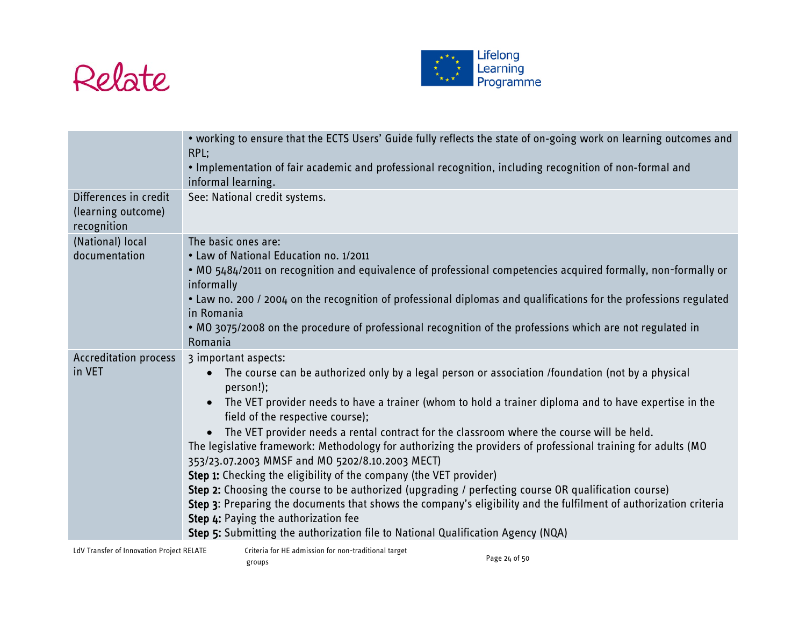



|                                                            | . working to ensure that the ECTS Users' Guide fully reflects the state of on-going work on learning outcomes and<br>RPL:<br>. Implementation of fair academic and professional recognition, including recognition of non-formal and<br>informal learning.                                                                                                                                                                                                                                                                                                                                                                                                                                                                                                                                                                                                                                                                                                                         |
|------------------------------------------------------------|------------------------------------------------------------------------------------------------------------------------------------------------------------------------------------------------------------------------------------------------------------------------------------------------------------------------------------------------------------------------------------------------------------------------------------------------------------------------------------------------------------------------------------------------------------------------------------------------------------------------------------------------------------------------------------------------------------------------------------------------------------------------------------------------------------------------------------------------------------------------------------------------------------------------------------------------------------------------------------|
| Differences in credit<br>(learning outcome)<br>recognition | See: National credit systems.                                                                                                                                                                                                                                                                                                                                                                                                                                                                                                                                                                                                                                                                                                                                                                                                                                                                                                                                                      |
| (National) local<br>documentation                          | The basic ones are:<br>• Law of National Education no. 1/2011<br>. MO 5484/2011 on recognition and equivalence of professional competencies acquired formally, non-formally or<br>informally<br>• Law no. 200 / 2004 on the recognition of professional diplomas and qualifications for the professions regulated<br>in Romania<br>. MO 3075/2008 on the procedure of professional recognition of the professions which are not regulated in<br>Romania                                                                                                                                                                                                                                                                                                                                                                                                                                                                                                                            |
| <b>Accreditation process</b><br>in VET                     | 3 important aspects:<br>The course can be authorized only by a legal person or association /foundation (not by a physical<br>person!);<br>The VET provider needs to have a trainer (whom to hold a trainer diploma and to have expertise in the<br>field of the respective course);<br>The VET provider needs a rental contract for the classroom where the course will be held.<br>The legislative framework: Methodology for authorizing the providers of professional training for adults (MO<br>353/23.07.2003 MMSF and MO 5202/8.10.2003 MECT)<br>Step 1: Checking the eligibility of the company (the VET provider)<br>Step 2: Choosing the course to be authorized (upgrading / perfecting course OR qualification course)<br>Step 3: Preparing the documents that shows the company's eligibility and the fulfilment of authorization criteria<br>Step 4: Paying the authorization fee<br>Step 5: Submitting the authorization file to National Qualification Agency (NQA) |

LdV Transfer of Innovation Project RELATE Criteria for HE admission for non-traditional target eriteria for the admission for fion traditional target<br>groups Page 24 of 50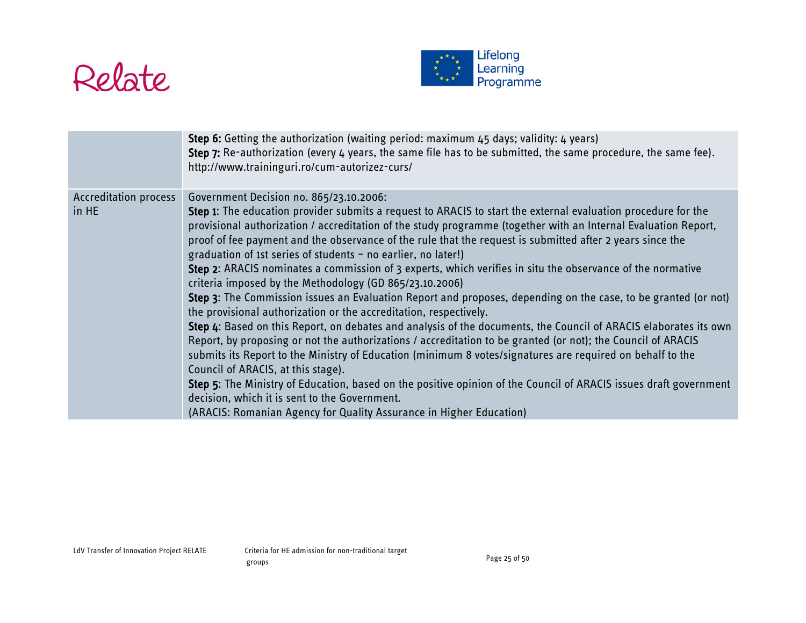



|                                       | Step 6: Getting the authorization (waiting period: maximum 45 days; validity: 4 years)<br>Step 7: Re-authorization (every 4 years, the same file has to be submitted, the same procedure, the same fee).<br>http://www.traininguri.ro/cum-autorizez-curs/                                                                                                                                                                                                                                                                                                                                                                                                                                                                                                                                                                                                                                                                                                                                                                                                                                                                                                                                                                                                                                                                                                                                                                                                    |
|---------------------------------------|--------------------------------------------------------------------------------------------------------------------------------------------------------------------------------------------------------------------------------------------------------------------------------------------------------------------------------------------------------------------------------------------------------------------------------------------------------------------------------------------------------------------------------------------------------------------------------------------------------------------------------------------------------------------------------------------------------------------------------------------------------------------------------------------------------------------------------------------------------------------------------------------------------------------------------------------------------------------------------------------------------------------------------------------------------------------------------------------------------------------------------------------------------------------------------------------------------------------------------------------------------------------------------------------------------------------------------------------------------------------------------------------------------------------------------------------------------------|
| <b>Accreditation process</b><br>in HE | Government Decision no. 865/23.10.2006:<br>Step 1: The education provider submits a request to ARACIS to start the external evaluation procedure for the<br>provisional authorization / accreditation of the study programme (together with an Internal Evaluation Report,<br>proof of fee payment and the observance of the rule that the request is submitted after 2 years since the<br>graduation of 1st series of students - no earlier, no later!)<br>Step 2: ARACIS nominates a commission of 3 experts, which verifies in situ the observance of the normative<br>criteria imposed by the Methodology (GD 865/23.10.2006)<br>Step 3: The Commission issues an Evaluation Report and proposes, depending on the case, to be granted (or not)<br>the provisional authorization or the accreditation, respectively.<br>Step 4: Based on this Report, on debates and analysis of the documents, the Council of ARACIS elaborates its own<br>Report, by proposing or not the authorizations / accreditation to be granted (or not); the Council of ARACIS<br>submits its Report to the Ministry of Education (minimum 8 votes/signatures are required on behalf to the<br>Council of ARACIS, at this stage).<br>Step 5: The Ministry of Education, based on the positive opinion of the Council of ARACIS issues draft government<br>decision, which it is sent to the Government.<br>(ARACIS: Romanian Agency for Quality Assurance in Higher Education) |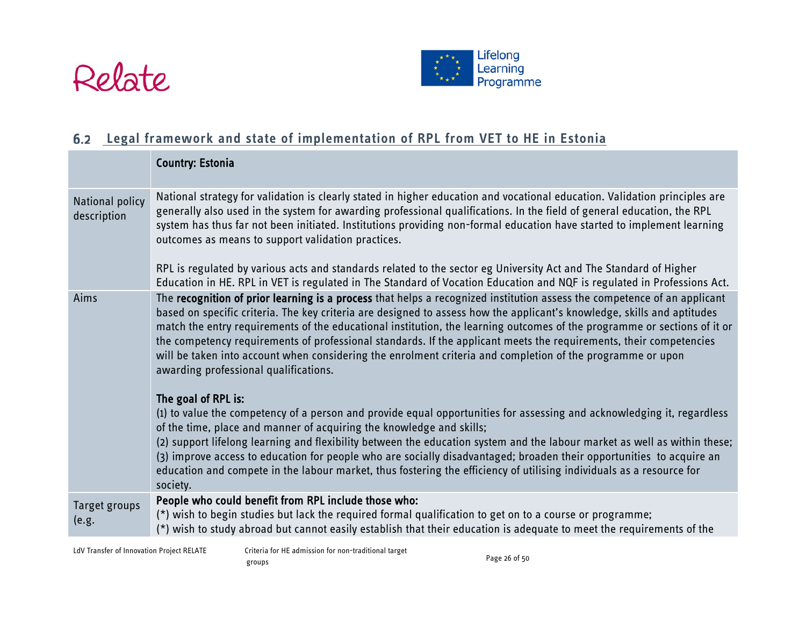



# **Legal framework and state of implementation of RPL from VET to HE in Estonia**

<span id="page-25-0"></span>

|                                | <b>Country: Estonia</b>                                                                                                                                                                                                                                                                                                                                                                                                                                                                                                                                                                                                                                                              |
|--------------------------------|--------------------------------------------------------------------------------------------------------------------------------------------------------------------------------------------------------------------------------------------------------------------------------------------------------------------------------------------------------------------------------------------------------------------------------------------------------------------------------------------------------------------------------------------------------------------------------------------------------------------------------------------------------------------------------------|
| National policy<br>description | National strategy for validation is clearly stated in higher education and vocational education. Validation principles are<br>generally also used in the system for awarding professional qualifications. In the field of general education, the RPL<br>system has thus far not been initiated. Institutions providing non-formal education have started to implement learning<br>outcomes as means to support validation practices.<br>RPL is regulated by various acts and standards related to the sector eg University Act and The Standard of Higher<br>Education in HE. RPL in VET is regulated in The Standard of Vocation Education and NQF is regulated in Professions Act. |
| Aims                           | The recognition of prior learning is a process that helps a recognized institution assess the competence of an applicant                                                                                                                                                                                                                                                                                                                                                                                                                                                                                                                                                             |
|                                | based on specific criteria. The key criteria are designed to assess how the applicant's knowledge, skills and aptitudes<br>match the entry requirements of the educational institution, the learning outcomes of the programme or sections of it or<br>the competency requirements of professional standards. If the applicant meets the requirements, their competencies<br>will be taken into account when considering the enrolment criteria and completion of the programme or upon<br>awarding professional qualifications.                                                                                                                                                     |
|                                | The goal of RPL is:                                                                                                                                                                                                                                                                                                                                                                                                                                                                                                                                                                                                                                                                  |
|                                | (1) to value the competency of a person and provide equal opportunities for assessing and acknowledging it, regardless<br>of the time, place and manner of acquiring the knowledge and skills;                                                                                                                                                                                                                                                                                                                                                                                                                                                                                       |
|                                | (2) support lifelong learning and flexibility between the education system and the labour market as well as within these;<br>(3) improve access to education for people who are socially disadvantaged; broaden their opportunities to acquire an<br>education and compete in the labour market, thus fostering the efficiency of utilising individuals as a resource for<br>society.                                                                                                                                                                                                                                                                                                |
| Target groups                  | People who could benefit from RPL include those who:                                                                                                                                                                                                                                                                                                                                                                                                                                                                                                                                                                                                                                 |
| (e.g.                          | (*) wish to begin studies but lack the required formal qualification to get on to a course or programme;<br>(*) wish to study abroad but cannot easily establish that their education is adequate to meet the requirements of the                                                                                                                                                                                                                                                                                                                                                                                                                                                    |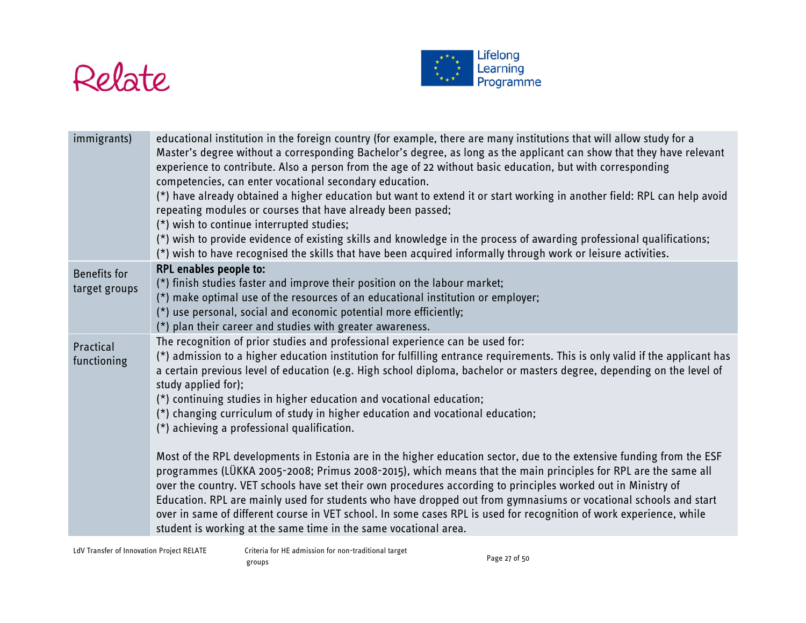



| immigrants)                   | educational institution in the foreign country (for example, there are many institutions that will allow study for a<br>Master's degree without a corresponding Bachelor's degree, as long as the applicant can show that they have relevant<br>experience to contribute. Also a person from the age of 22 without basic education, but with corresponding<br>competencies, can enter vocational secondary education.<br>(*) have already obtained a higher education but want to extend it or start working in another field: RPL can help avoid<br>repeating modules or courses that have already been passed;<br>(*) wish to continue interrupted studies;<br>(*) wish to provide evidence of existing skills and knowledge in the process of awarding professional qualifications;<br>(*) wish to have recognised the skills that have been acquired informally through work or leisure activities.                                                                                                                                                                                                                                                                                                                                            |
|-------------------------------|----------------------------------------------------------------------------------------------------------------------------------------------------------------------------------------------------------------------------------------------------------------------------------------------------------------------------------------------------------------------------------------------------------------------------------------------------------------------------------------------------------------------------------------------------------------------------------------------------------------------------------------------------------------------------------------------------------------------------------------------------------------------------------------------------------------------------------------------------------------------------------------------------------------------------------------------------------------------------------------------------------------------------------------------------------------------------------------------------------------------------------------------------------------------------------------------------------------------------------------------------|
| Benefits for<br>target groups | <b>RPL enables people to:</b><br>(*) finish studies faster and improve their position on the labour market;<br>(*) make optimal use of the resources of an educational institution or employer;<br>(*) use personal, social and economic potential more efficiently;<br>(*) plan their career and studies with greater awareness.                                                                                                                                                                                                                                                                                                                                                                                                                                                                                                                                                                                                                                                                                                                                                                                                                                                                                                                  |
| Practical<br>functioning      | The recognition of prior studies and professional experience can be used for:<br>(*) admission to a higher education institution for fulfilling entrance requirements. This is only valid if the applicant has<br>a certain previous level of education (e.g. High school diploma, bachelor or masters degree, depending on the level of<br>study applied for);<br>(*) continuing studies in higher education and vocational education;<br>(*) changing curriculum of study in higher education and vocational education;<br>(*) achieving a professional qualification.<br>Most of the RPL developments in Estonia are in the higher education sector, due to the extensive funding from the ESF<br>programmes (LÜKKA 2005-2008; Primus 2008-2015), which means that the main principles for RPL are the same all<br>over the country. VET schools have set their own procedures according to principles worked out in Ministry of<br>Education. RPL are mainly used for students who have dropped out from gymnasiums or vocational schools and start<br>over in same of different course in VET school. In some cases RPL is used for recognition of work experience, while<br>student is working at the same time in the same vocational area. |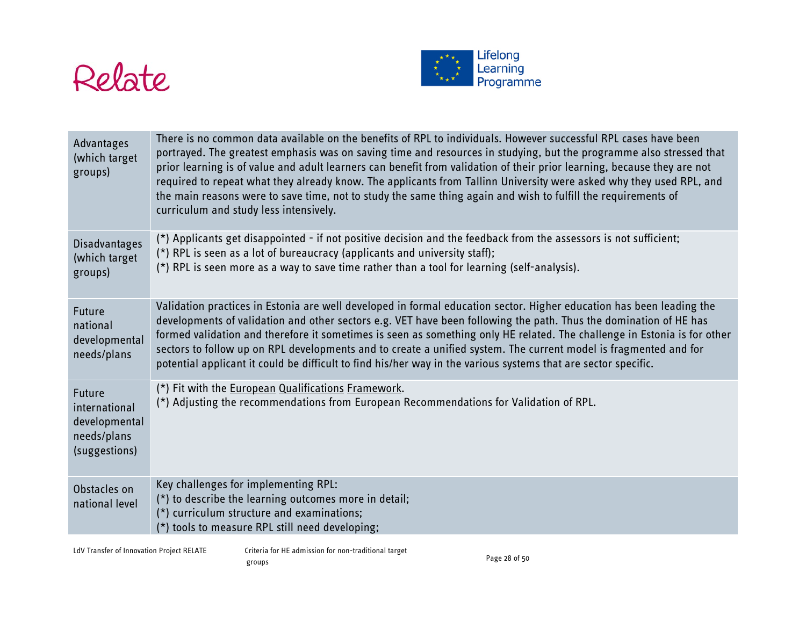



| Advantages<br>(which target<br>groups)                                          | There is no common data available on the benefits of RPL to individuals. However successful RPL cases have been<br>portrayed. The greatest emphasis was on saving time and resources in studying, but the programme also stressed that<br>prior learning is of value and adult learners can benefit from validation of their prior learning, because they are not<br>required to repeat what they already know. The applicants from Tallinn University were asked why they used RPL, and<br>the main reasons were to save time, not to study the same thing again and wish to fulfill the requirements of<br>curriculum and study less intensively. |
|---------------------------------------------------------------------------------|-----------------------------------------------------------------------------------------------------------------------------------------------------------------------------------------------------------------------------------------------------------------------------------------------------------------------------------------------------------------------------------------------------------------------------------------------------------------------------------------------------------------------------------------------------------------------------------------------------------------------------------------------------|
| Disadvantages<br>(which target<br>groups)                                       | (*) Applicants get disappointed - if not positive decision and the feedback from the assessors is not sufficient;<br>(*) RPL is seen as a lot of bureaucracy (applicants and university staff);<br>(*) RPL is seen more as a way to save time rather than a tool for learning (self-analysis).                                                                                                                                                                                                                                                                                                                                                      |
| <b>Future</b><br>national<br>developmental<br>needs/plans                       | Validation practices in Estonia are well developed in formal education sector. Higher education has been leading the<br>developments of validation and other sectors e.g. VET have been following the path. Thus the domination of HE has<br>formed validation and therefore it sometimes is seen as something only HE related. The challenge in Estonia is for other<br>sectors to follow up on RPL developments and to create a unified system. The current model is fragmented and for<br>potential applicant it could be difficult to find his/her way in the various systems that are sector specific.                                         |
| <b>Future</b><br>international<br>developmental<br>needs/plans<br>(suggestions) | (*) Fit with the European Qualifications Framework.<br>(*) Adjusting the recommendations from European Recommendations for Validation of RPL.                                                                                                                                                                                                                                                                                                                                                                                                                                                                                                       |
| Obstacles on<br>national level                                                  | Key challenges for implementing RPL:<br>(*) to describe the learning outcomes more in detail;<br>(*) curriculum structure and examinations;<br>(*) tools to measure RPL still need developing;                                                                                                                                                                                                                                                                                                                                                                                                                                                      |

LdV Transfer of Innovation Project RELATE Criteria for HE admission for non-traditional target eriteria for the admission for fion traditional target<br>groups Page 28 of 50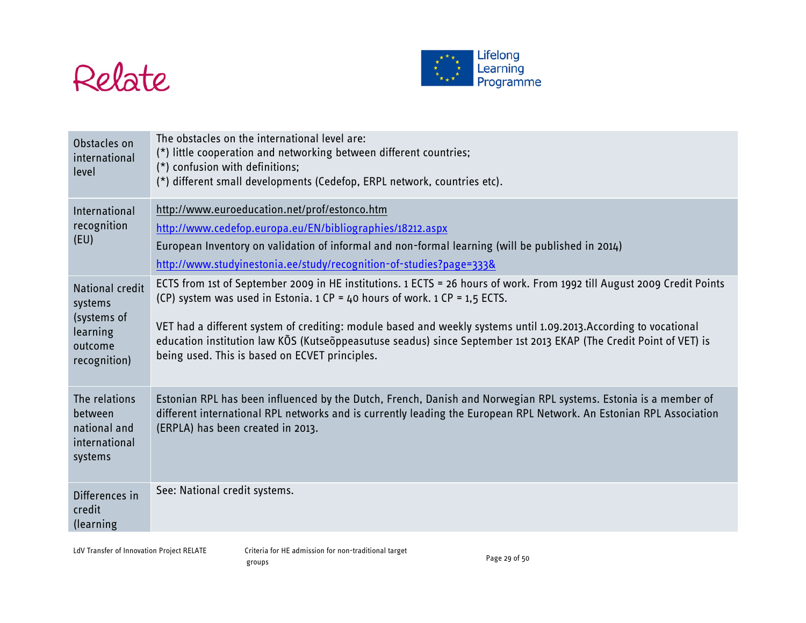



| Obstacles on<br>international<br>level                                           | The obstacles on the international level are:<br>(*) little cooperation and networking between different countries;<br>(*) confusion with definitions;<br>(*) different small developments (Cedefop, ERPL network, countries etc).                                                                                                                                                                                                                                                                    |
|----------------------------------------------------------------------------------|-------------------------------------------------------------------------------------------------------------------------------------------------------------------------------------------------------------------------------------------------------------------------------------------------------------------------------------------------------------------------------------------------------------------------------------------------------------------------------------------------------|
| International<br>recognition<br>(EU)                                             | http://www.euroeducation.net/prof/estonco.htm<br>http://www.cedefop.europa.eu/EN/bibliographies/18212.aspx<br>European Inventory on validation of informal and non-formal learning (will be published in 2014)<br>http://www.studyinestonia.ee/study/recognition-of-studies?page=333&                                                                                                                                                                                                                 |
| National credit<br>systems<br>(systems of<br>learning<br>outcome<br>recognition) | ECTS from 1st of September 2009 in HE institutions. 1 ECTS = 26 hours of work. From 1992 till August 2009 Credit Points<br>(CP) system was used in Estonia. $1 CP = 40$ hours of work. $1 CP = 1.5$ ECTS.<br>VET had a different system of crediting: module based and weekly systems until 1.09.2013.According to vocational<br>education institution law KOS (Kutseoppeasutuse seadus) since September 1st 2013 EKAP (The Credit Point of VET) is<br>being used. This is based on ECVET principles. |
| The relations<br>between<br>national and<br>international<br>systems             | Estonian RPL has been influenced by the Dutch, French, Danish and Norwegian RPL systems. Estonia is a member of<br>different international RPL networks and is currently leading the European RPL Network. An Estonian RPL Association<br>(ERPLA) has been created in 2013.                                                                                                                                                                                                                           |
| Differences in<br>credit<br>(learning                                            | See: National credit systems.                                                                                                                                                                                                                                                                                                                                                                                                                                                                         |

LdV Transfer of Innovation Project RELATE Criteria for HE admission for non-traditional target eriteria for the admission for fion traditional target<br>groups Page 29 of 50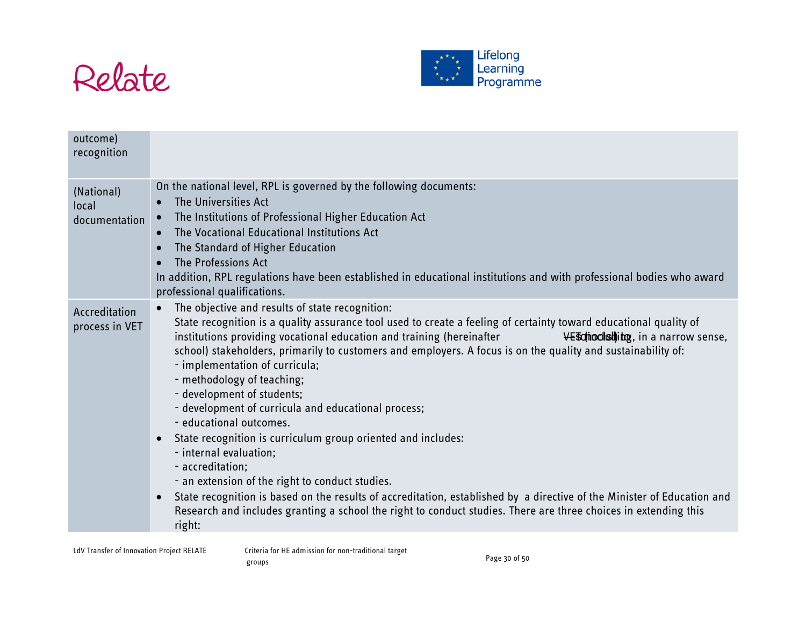



| outcome)<br>recognition              |                                                                                                                                                                                                                                                                                                                                                                                                                                                                                                                                                                                                                                                                                                                                                                                                                                                                                                                                                                                                                                       |
|--------------------------------------|---------------------------------------------------------------------------------------------------------------------------------------------------------------------------------------------------------------------------------------------------------------------------------------------------------------------------------------------------------------------------------------------------------------------------------------------------------------------------------------------------------------------------------------------------------------------------------------------------------------------------------------------------------------------------------------------------------------------------------------------------------------------------------------------------------------------------------------------------------------------------------------------------------------------------------------------------------------------------------------------------------------------------------------|
| (National)<br>local<br>documentation | On the national level, RPL is governed by the following documents:<br>The Universities Act<br>$\bullet$<br>The Institutions of Professional Higher Education Act<br>$\bullet$<br>The Vocational Educational Institutions Act<br>$\bullet$<br>The Standard of Higher Education<br>The Professions Act<br>In addition, RPL regulations have been established in educational institutions and with professional bodies who award<br>professional qualifications.                                                                                                                                                                                                                                                                                                                                                                                                                                                                                                                                                                         |
| Accreditation<br>process in VET      | The objective and results of state recognition:<br>State recognition is a quality assurance tool used to create a feeling of certainty toward educational quality of<br>institutions providing vocational education and training (hereinafter<br><b>VE soling districtly</b> in a narrow sense,<br>school) stakeholders, primarily to customers and employers. A focus is on the quality and sustainability of:<br>- implementation of curricula;<br>- methodology of teaching;<br>- development of students;<br>- development of curricula and educational process;<br>- educational outcomes.<br>State recognition is curriculum group oriented and includes:<br>$\bullet$<br>- internal evaluation;<br>- accreditation;<br>- an extension of the right to conduct studies.<br>State recognition is based on the results of accreditation, established by a directive of the Minister of Education and<br>Research and includes granting a school the right to conduct studies. There are three choices in extending this<br>right: |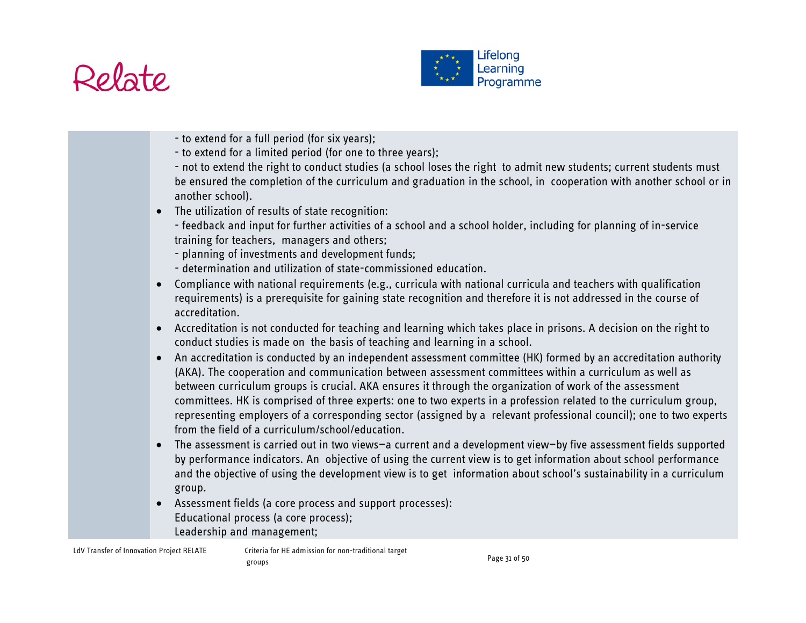



- to extend for a full period (for six years);
- to extend for a limited period (for one to three years);
- not to extend the right to conduct studies (a school loses the right to admit new students; current students must be ensured the completion of the curriculum and graduation in the school, in cooperation with another school or in another school).
- The utilization of results of state recognition:
	- feedback and input for further activities of a school and a school holder, including for planning of in-service training for teachers, managers and others;
	- planning of investments and development funds;
	- determination and utilization of state-commissioned education.
- Compliance with national requirements (e.g., curricula with national curricula and teachers with qualification requirements) is a prerequisite for gaining state recognition and therefore it is not addressed in the course of accreditation.
- Accreditation is not conducted for teaching and learning which takes place in prisons. A decision on the right to conduct studies is made on the basis of teaching and learning in a school.
- An accreditation is conducted by an independent assessment committee (HK) formed by an accreditation authority (AKA). The cooperation and communication between assessment committees within a curriculum as well as between curriculum groups is crucial. AKA ensures it through the organization of work of the assessment committees. HK is comprised of three experts: one to two experts in a profession related to the curriculum group, representing employers of a corresponding sector (assigned by a relevant professional council); one to two experts from the field of a curriculum/school/education.
- The assessment is carried out in two views—a current and a development view—by five assessment fields supported by performance indicators. An objective of using the current view is to get information about school performance and the objective of using the development view is to get information about school's sustainability in a curriculum group.
- Assessment fields (a core process and support processes): Educational process (a core process); Leadership and management;

LdV Transfer of Innovation Project RELATE Criteria for HE admission for non-traditional target groups Page 31 of 50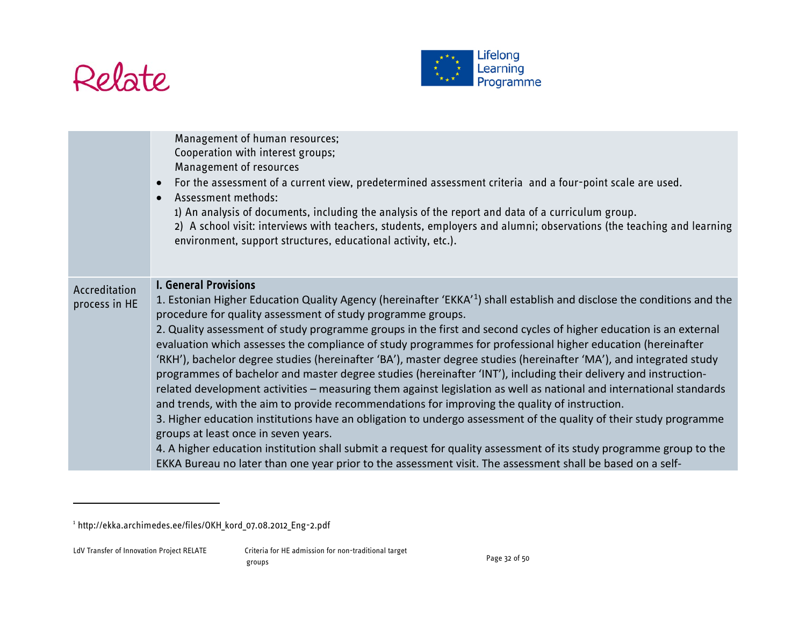

<span id="page-31-0"></span>

|                                | Management of human resources;<br>Cooperation with interest groups;<br>Management of resources<br>For the assessment of a current view, predetermined assessment criteria and a four-point scale are used.<br>Assessment methods:<br>1) An analysis of documents, including the analysis of the report and data of a curriculum group.<br>2) A school visit: interviews with teachers, students, employers and alumni; observations (the teaching and learning<br>environment, support structures, educational activity, etc.).                                                                                                                                                                                                                                                                                                                                                                                                                                                                                                                                                                                                                                                                                                                                                                                             |
|--------------------------------|-----------------------------------------------------------------------------------------------------------------------------------------------------------------------------------------------------------------------------------------------------------------------------------------------------------------------------------------------------------------------------------------------------------------------------------------------------------------------------------------------------------------------------------------------------------------------------------------------------------------------------------------------------------------------------------------------------------------------------------------------------------------------------------------------------------------------------------------------------------------------------------------------------------------------------------------------------------------------------------------------------------------------------------------------------------------------------------------------------------------------------------------------------------------------------------------------------------------------------------------------------------------------------------------------------------------------------|
| Accreditation<br>process in HE | <b>I. General Provisions</b><br>1. Estonian Higher Education Quality Agency (hereinafter 'EKKA'1) shall establish and disclose the conditions and the<br>procedure for quality assessment of study programme groups.<br>2. Quality assessment of study programme groups in the first and second cycles of higher education is an external<br>evaluation which assesses the compliance of study programmes for professional higher education (hereinafter<br>'RKH'), bachelor degree studies (hereinafter 'BA'), master degree studies (hereinafter 'MA'), and integrated study<br>programmes of bachelor and master degree studies (hereinafter 'INT'), including their delivery and instruction-<br>related development activities - measuring them against legislation as well as national and international standards<br>and trends, with the aim to provide recommendations for improving the quality of instruction.<br>3. Higher education institutions have an obligation to undergo assessment of the quality of their study programme<br>groups at least once in seven years.<br>4. A higher education institution shall submit a request for quality assessment of its study programme group to the<br>EKKA Bureau no later than one year prior to the assessment visit. The assessment shall be based on a self- |

 $\overline{a}$ 

<sup>1</sup> http://ekka.archimedes.ee/files/OKH\_kord\_07.08.2012\_Eng-2.pdf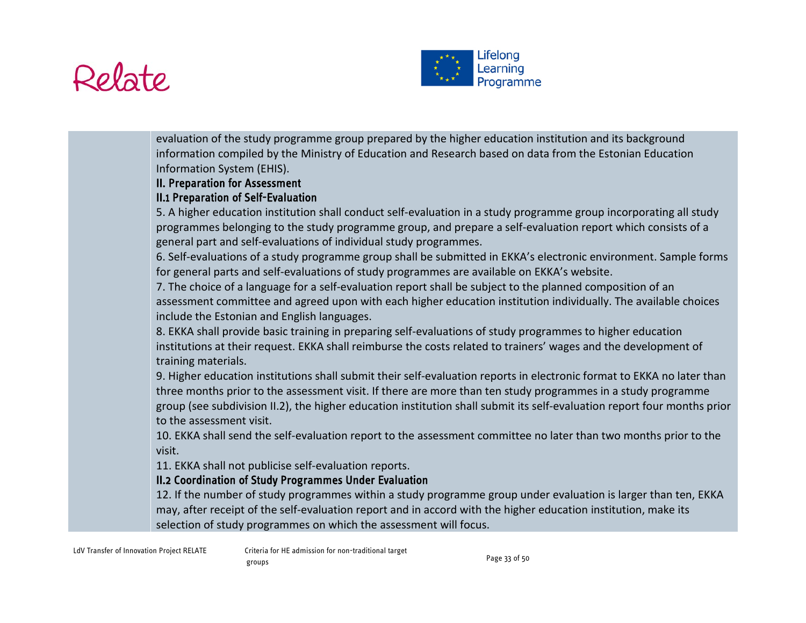



evaluation of the study programme group prepared by the higher education institution and its background information compiled by the Ministry of Education and Research based on data from the Estonian Education Information System (EHIS).

## II. Preparation for Assessment

# II.1 Preparation of Self-Evaluation

5. A higher education institution shall conduct self-evaluation in a study programme group incorporating all study programmes belonging to the study programme group, and prepare a self-evaluation report which consists of a general part and self-evaluations of individual study programmes.

6. Self-evaluations of a study programme group shall be submitted in EKKA's electronic environment. Sample forms for general parts and self-evaluations of study programmes are available on EKKA's website.

7. The choice of a language for a self-evaluation report shall be subject to the planned composition of an assessment committee and agreed upon with each higher education institution individually. The available choices include the Estonian and English languages.

8. EKKA shall provide basic training in preparing self-evaluations of study programmes to higher education institutions at their request. EKKA shall reimburse the costs related to trainers' wages and the development of training materials.

9. Higher education institutions shall submit their self-evaluation reports in electronic format to EKKA no later than three months prior to the assessment visit. If there are more than ten study programmes in a study programme group (see subdivision II.2), the higher education institution shall submit its self-evaluation report four months prior to the assessment visit.

10. EKKA shall send the self-evaluation report to the assessment committee no later than two months prior to the visit.

11. EKKA shall not publicise self-evaluation reports.

## II.2 Coordination of Study Programmes Under Evaluation

12. If the number of study programmes within a study programme group under evaluation is larger than ten, EKKA may, after receipt of the self-evaluation report and in accord with the higher education institution, make its selection of study programmes on which the assessment will focus.

LdV Transfer of Innovation Project RELATE Criteria for HE admission for non-traditional target groups examples the control of the control of the Page 33 of 50  $\sim$  Page 33 of 50  $\sim$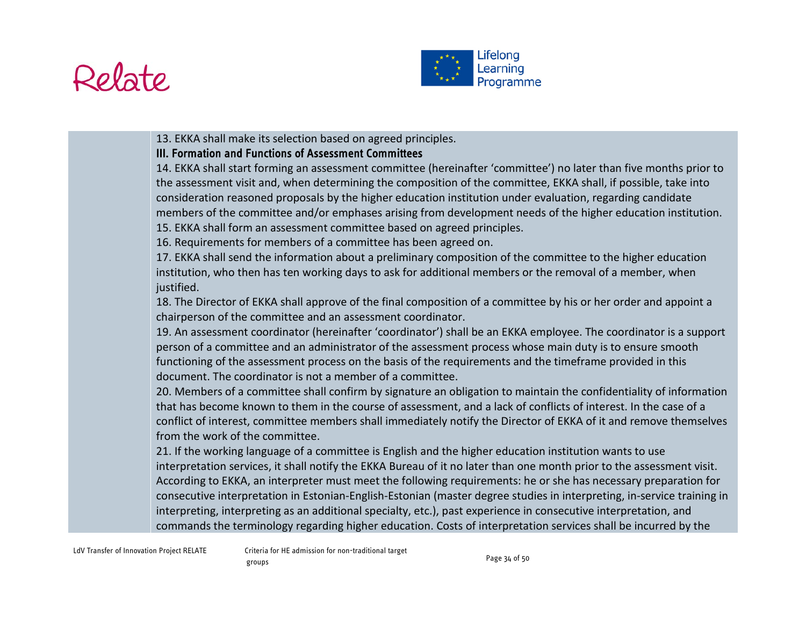



13. EKKA shall make its selection based on agreed principles.

## III. Formation and Functions of Assessment Committees

14. EKKA shall start forming an assessment committee (hereinafter 'committee') no later than five months prior to the assessment visit and, when determining the composition of the committee, EKKA shall, if possible, take into consideration reasoned proposals by the higher education institution under evaluation, regarding candidate members of the committee and/or emphases arising from development needs of the higher education institution. 15. EKKA shall form an assessment committee based on agreed principles.

16. Requirements for members of a committee has been agreed on.

17. EKKA shall send the information about a preliminary composition of the committee to the higher education institution, who then has ten working days to ask for additional members or the removal of a member, when justified.

18. The Director of EKKA shall approve of the final composition of a committee by his or her order and appoint a chairperson of the committee and an assessment coordinator.

19. An assessment coordinator (hereinafter 'coordinator') shall be an EKKA employee. The coordinator is a support person of a committee and an administrator of the assessment process whose main duty is to ensure smooth functioning of the assessment process on the basis of the requirements and the timeframe provided in this document. The coordinator is not a member of a committee.

20. Members of a committee shall confirm by signature an obligation to maintain the confidentiality of information that has become known to them in the course of assessment, and a lack of conflicts of interest. In the case of a conflict of interest, committee members shall immediately notify the Director of EKKA of it and remove themselves from the work of the committee.

21. If the working language of a committee is English and the higher education institution wants to use interpretation services, it shall notify the EKKA Bureau of it no later than one month prior to the assessment visit. According to EKKA, an interpreter must meet the following requirements: he or she has necessary preparation for consecutive interpretation in Estonian-English-Estonian (master degree studies in interpreting, in-service training in interpreting, interpreting as an additional specialty, etc.), past experience in consecutive interpretation, and commands the terminology regarding higher education. Costs of interpretation services shall be incurred by the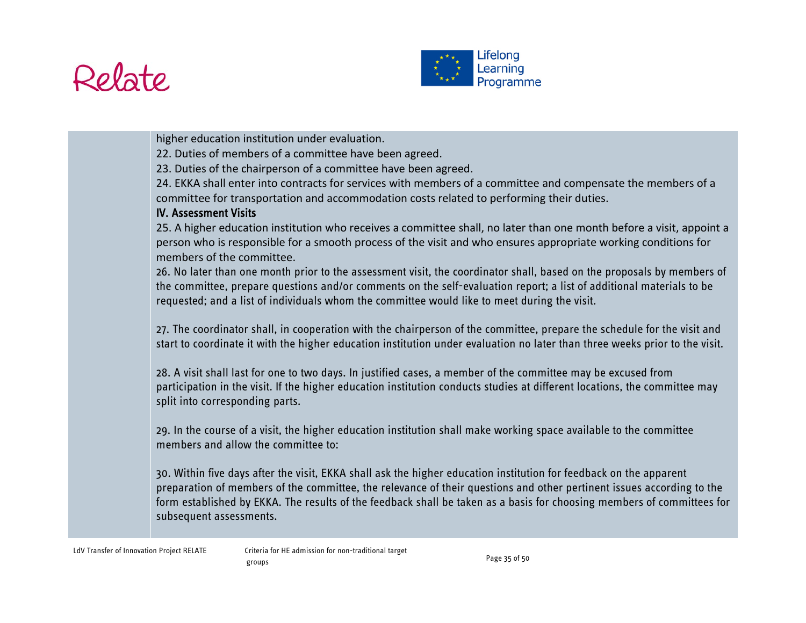



higher education institution under evaluation.

22. Duties of members of a committee have been agreed.

23. Duties of the chairperson of a committee have been agreed.

24. EKKA shall enter into contracts for services with members of a committee and compensate the members of a committee for transportation and accommodation costs related to performing their duties.

#### IV. Assessment Visits

25. A higher education institution who receives a committee shall, no later than one month before a visit, appoint a person who is responsible for a smooth process of the visit and who ensures appropriate working conditions for members of the committee.

26. No later than one month prior to the assessment visit, the coordinator shall, based on the proposals by members of the committee, prepare questions and/or comments on the self-evaluation report; a list of additional materials to be requested; and a list of individuals whom the committee would like to meet during the visit.

27. The coordinator shall, in cooperation with the chairperson of the committee, prepare the schedule for the visit and start to coordinate it with the higher education institution under evaluation no later than three weeks prior to the visit.

28. A visit shall last for one to two days. In justified cases, a member of the committee may be excused from participation in the visit. If the higher education institution conducts studies at different locations, the committee may split into corresponding parts.

29. In the course of a visit, the higher education institution shall make working space available to the committee members and allow the committee to:

30. Within five days after the visit, EKKA shall ask the higher education institution for feedback on the apparent preparation of members of the committee, the relevance of their questions and other pertinent issues according to the form established by EKKA. The results of the feedback shall be taken as a basis for choosing members of committees for subsequent assessments.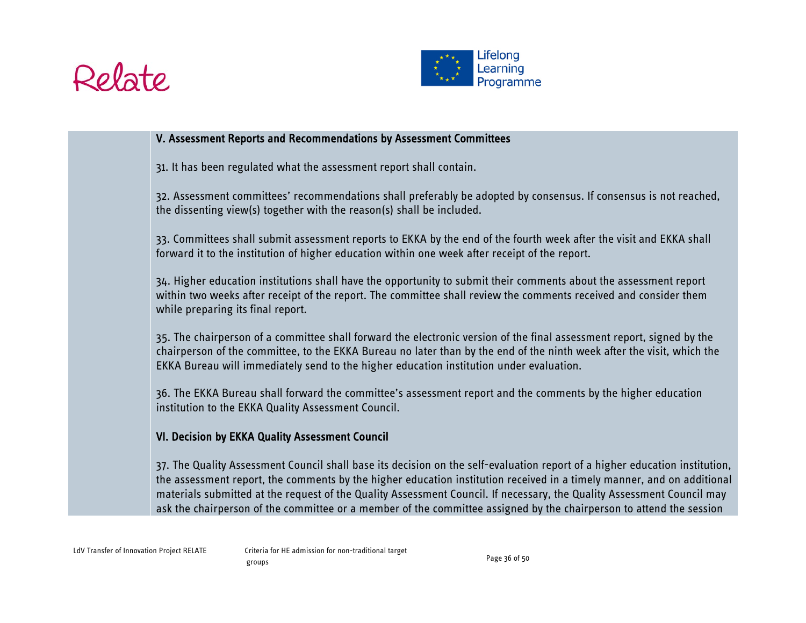



#### V. Assessment Reports and Recommendations by Assessment Committees

31. It has been regulated what the assessment report shall contain.

32. Assessment committees' recommendations shall preferably be adopted by consensus. If consensus is not reached, the dissenting view(s) together with the reason(s) shall be included.

33. Committees shall submit assessment reports to EKKA by the end of the fourth week after the visit and EKKA shall forward it to the institution of higher education within one week after receipt of the report.

34. Higher education institutions shall have the opportunity to submit their comments about the assessment report within two weeks after receipt of the report. The committee shall review the comments received and consider them while preparing its final report.

35. The chairperson of a committee shall forward the electronic version of the final assessment report, signed by the chairperson of the committee, to the EKKA Bureau no later than by the end of the ninth week after the visit, which the EKKA Bureau will immediately send to the higher education institution under evaluation.

36. The EKKA Bureau shall forward the committee's assessment report and the comments by the higher education institution to the EKKA Quality Assessment Council.

#### VI. Decision by EKKA Quality Assessment Council

37. The Quality Assessment Council shall base its decision on the self-evaluation report of a higher education institution, the assessment report, the comments by the higher education institution received in a timely manner, and on additional materials submitted at the request of the Quality Assessment Council. If necessary, the Quality Assessment Council may ask the chairperson of the committee or a member of the committee assigned by the chairperson to attend the session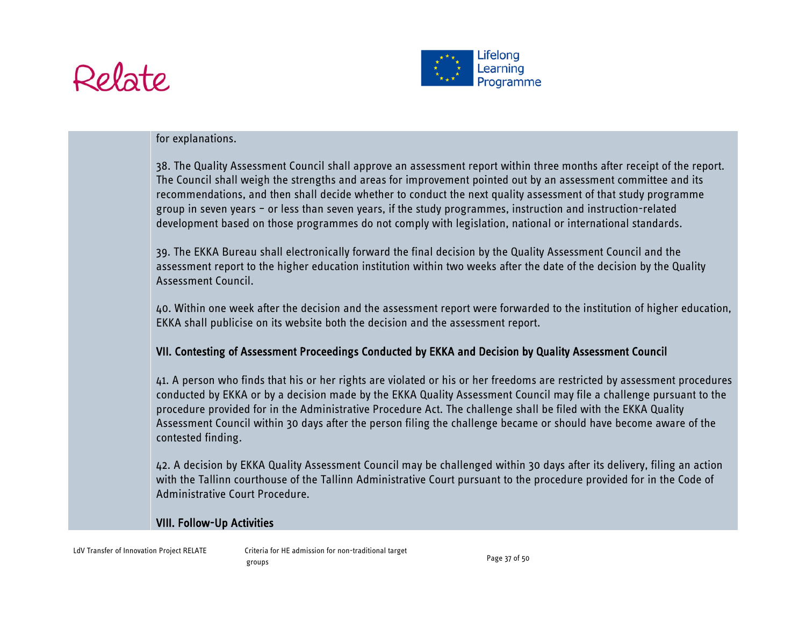



#### for explanations.

38. The Quality Assessment Council shall approve an assessment report within three months after receipt of the report. The Council shall weigh the strengths and areas for improvement pointed out by an assessment committee and its recommendations, and then shall decide whether to conduct the next quality assessment of that study programme group in seven years – or less than seven years, if the study programmes, instruction and instruction-related development based on those programmes do not comply with legislation, national or international standards.

39. The EKKA Bureau shall electronically forward the final decision by the Quality Assessment Council and the assessment report to the higher education institution within two weeks after the date of the decision by the Quality Assessment Council.

40. Within one week after the decision and the assessment report were forwarded to the institution of higher education, EKKA shall publicise on its website both the decision and the assessment report.

### VII. Contesting of Assessment Proceedings Conducted by EKKA and Decision by Quality Assessment Council

41. A person who finds that his or her rights are violated or his or her freedoms are restricted by assessment procedures conducted by EKKA or by a decision made by the EKKA Quality Assessment Council may file a challenge pursuant to the procedure provided for in the Administrative Procedure Act. The challenge shall be filed with the EKKA Quality Assessment Council within 30 days after the person filing the challenge became or should have become aware of the contested finding.

42. A decision by EKKA Quality Assessment Council may be challenged within 30 days after its delivery, filing an action with the Tallinn courthouse of the Tallinn Administrative Court pursuant to the procedure provided for in the Code of Administrative Court Procedure.

#### VIII. Follow-Up Activities

LdV Transfer of Innovation Project RELATE Criteria for HE admission for non-traditional target groups examples the control of the control of the Page 37 of 50  $\,$  Page 37 of 50  $\,$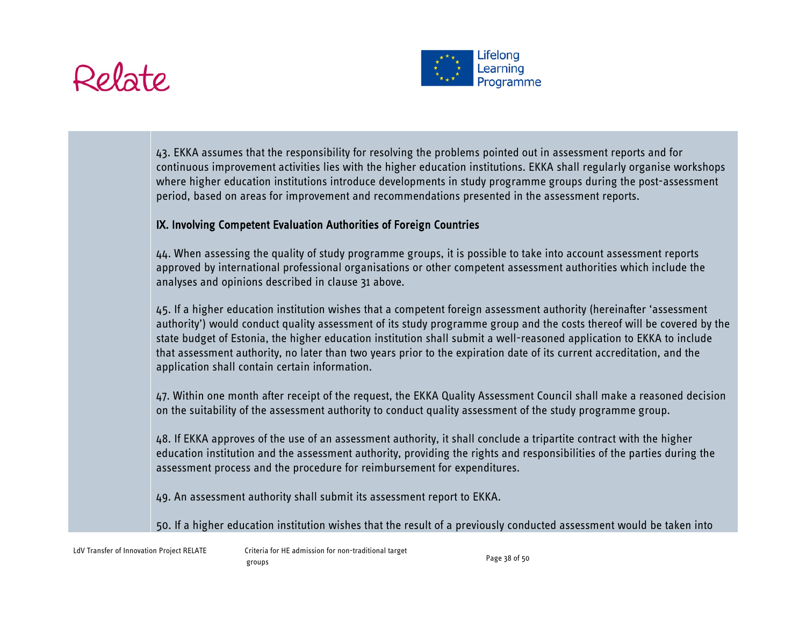# Relate



43. EKKA assumes that the responsibility for resolving the problems pointed out in assessment reports and for continuous improvement activities lies with the higher education institutions. EKKA shall regularly organise workshops where higher education institutions introduce developments in study programme groups during the post-assessment period, based on areas for improvement and recommendations presented in the assessment reports.

## IX. Involving Competent Evaluation Authorities of Foreign Countries

44. When assessing the quality of study programme groups, it is possible to take into account assessment reports approved by international professional organisations or other competent assessment authorities which include the analyses and opinions described in clause 31 above.

45. If a higher education institution wishes that a competent foreign assessment authority (hereinafter 'assessment authority') would conduct quality assessment of its study programme group and the costs thereof will be covered by the state budget of Estonia, the higher education institution shall submit a well-reasoned application to EKKA to include that assessment authority, no later than two years prior to the expiration date of its current accreditation, and the application shall contain certain information.

47. Within one month after receipt of the request, the EKKA Quality Assessment Council shall make a reasoned decision on the suitability of the assessment authority to conduct quality assessment of the study programme group.

48. If EKKA approves of the use of an assessment authority, it shall conclude a tripartite contract with the higher education institution and the assessment authority, providing the rights and responsibilities of the parties during the assessment process and the procedure for reimbursement for expenditures.

49. An assessment authority shall submit its assessment report to EKKA.

50. If a higher education institution wishes that the result of a previously conducted assessment would be taken into

LdV Transfer of Innovation Project RELATE Criteria for HE admission for non-traditional target groups Page 38 of 50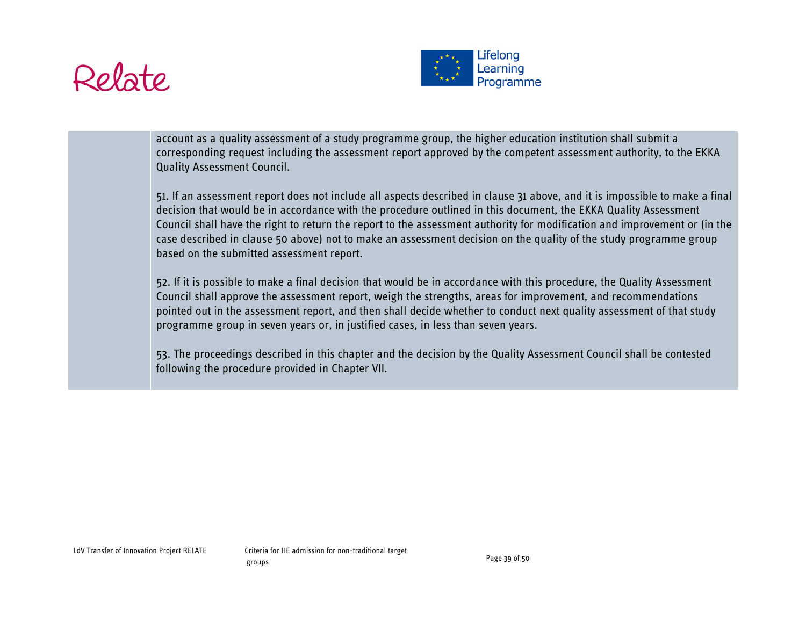



account as a quality assessment of a study programme group, the higher education institution shall submit a corresponding request including the assessment report approved by the competent assessment authority, to the EKKA Quality Assessment Council.

51. If an assessment report does not include all aspects described in clause 31 above, and it is impossible to make a final decision that would be in accordance with the procedure outlined in this document, the EKKA Quality Assessment Council shall have the right to return the report to the assessment authority for modification and improvement or (in the case described in clause 50 above) not to make an assessment decision on the quality of the study programme group based on the submitted assessment report.

52. If it is possible to make a final decision that would be in accordance with this procedure, the Quality Assessment Council shall approve the assessment report, weigh the strengths, areas for improvement, and recommendations pointed out in the assessment report, and then shall decide whether to conduct next quality assessment of that study programme group in seven years or, in justified cases, in less than seven years.

53. The proceedings described in this chapter and the decision by the Quality Assessment Council shall be contested following the procedure provided in Chapter VII.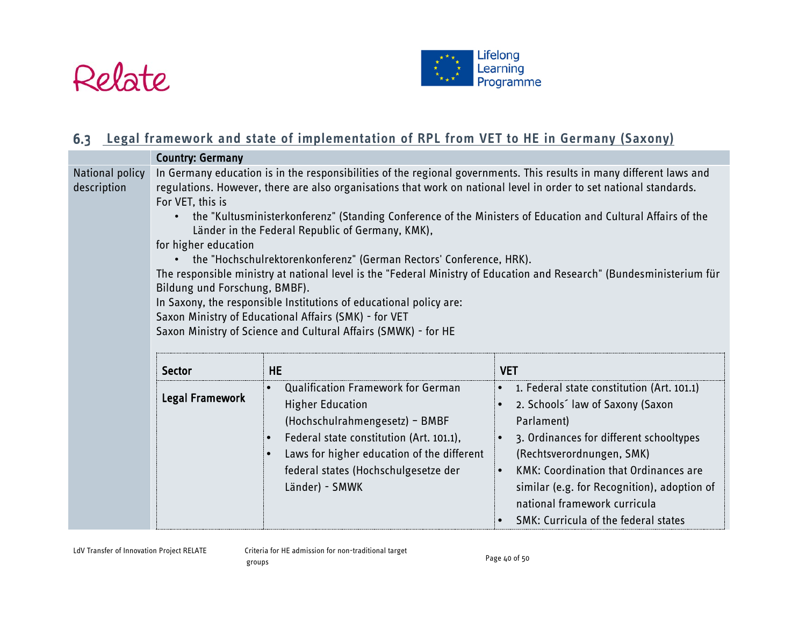



# **Legal framework and state of implementation of RPL from VET to HE in Germany (Saxony)**

<span id="page-39-0"></span>

|                                | <b>Country: Germany</b>                                                                                                                                                                                                                                                                                                                                                                                                                                                                                                                                                                                                                                                                                                                                                                                                                                                                        |                                                                                                                                                                                                                                                                                      |                                                                                                                                                                                                                                                                                                                                              |
|--------------------------------|------------------------------------------------------------------------------------------------------------------------------------------------------------------------------------------------------------------------------------------------------------------------------------------------------------------------------------------------------------------------------------------------------------------------------------------------------------------------------------------------------------------------------------------------------------------------------------------------------------------------------------------------------------------------------------------------------------------------------------------------------------------------------------------------------------------------------------------------------------------------------------------------|--------------------------------------------------------------------------------------------------------------------------------------------------------------------------------------------------------------------------------------------------------------------------------------|----------------------------------------------------------------------------------------------------------------------------------------------------------------------------------------------------------------------------------------------------------------------------------------------------------------------------------------------|
| National policy<br>description | In Germany education is in the responsibilities of the regional governments. This results in many different laws and<br>regulations. However, there are also organisations that work on national level in order to set national standards.<br>For VET, this is<br>the "Kultusministerkonferenz" (Standing Conference of the Ministers of Education and Cultural Affairs of the<br>Länder in the Federal Republic of Germany, KMK),<br>for higher education<br>• the "Hochschulrektorenkonferenz" (German Rectors' Conference, HRK).<br>The responsible ministry at national level is the "Federal Ministry of Education and Research" (Bundesministerium für<br>Bildung und Forschung, BMBF).<br>In Saxony, the responsible Institutions of educational policy are:<br>Saxon Ministry of Educational Affairs (SMK) - for VET<br>Saxon Ministry of Science and Cultural Affairs (SMWK) - for HE |                                                                                                                                                                                                                                                                                      |                                                                                                                                                                                                                                                                                                                                              |
|                                | <b>Sector</b>                                                                                                                                                                                                                                                                                                                                                                                                                                                                                                                                                                                                                                                                                                                                                                                                                                                                                  | <b>HE</b>                                                                                                                                                                                                                                                                            | <b>VET</b>                                                                                                                                                                                                                                                                                                                                   |
|                                | Legal Framework                                                                                                                                                                                                                                                                                                                                                                                                                                                                                                                                                                                                                                                                                                                                                                                                                                                                                | <b>Qualification Framework for German</b><br>$\bullet$<br><b>Higher Education</b><br>(Hochschulrahmengesetz) - BMBF<br>Federal state constitution (Art. 101.1),<br>$\bullet$<br>Laws for higher education of the different<br>federal states (Hochschulgesetze der<br>Länder) - SMWK | • 1. Federal state constitution (Art. 101.1)<br>2. Schools law of Saxony (Saxon<br>Parlament)<br>3. Ordinances for different schooltypes<br>(Rechtsverordnungen, SMK)<br><b>KMK: Coordination that Ordinances are</b><br>similar (e.g. for Recognition), adoption of<br>national framework curricula<br>SMK: Curricula of the federal states |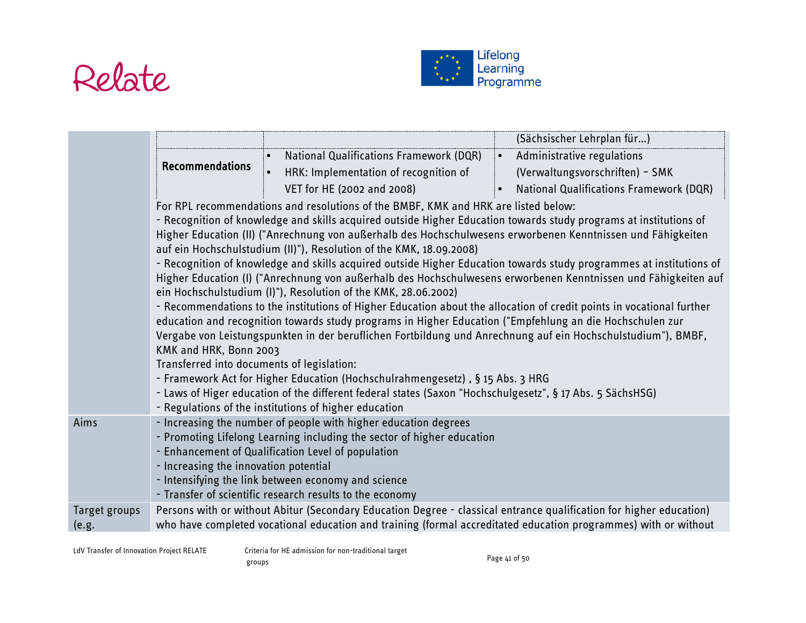



|               |                                                                      |                                                                                                                                                                                                                                                                                                                                                                                                                                                                                                                                                                                                                                                                                                                                                                                                                                                                                                                                                                                                                                                                             | (Sächsischer Lehrplan für)                                                                                                                                                                                                            |
|---------------|----------------------------------------------------------------------|-----------------------------------------------------------------------------------------------------------------------------------------------------------------------------------------------------------------------------------------------------------------------------------------------------------------------------------------------------------------------------------------------------------------------------------------------------------------------------------------------------------------------------------------------------------------------------------------------------------------------------------------------------------------------------------------------------------------------------------------------------------------------------------------------------------------------------------------------------------------------------------------------------------------------------------------------------------------------------------------------------------------------------------------------------------------------------|---------------------------------------------------------------------------------------------------------------------------------------------------------------------------------------------------------------------------------------|
|               |                                                                      | <b>National Qualifications Framework (DQR)</b><br>$\bullet$                                                                                                                                                                                                                                                                                                                                                                                                                                                                                                                                                                                                                                                                                                                                                                                                                                                                                                                                                                                                                 | $\bullet$<br>Administrative regulations                                                                                                                                                                                               |
|               | <b>Recommendations</b>                                               | HRK: Implementation of recognition of                                                                                                                                                                                                                                                                                                                                                                                                                                                                                                                                                                                                                                                                                                                                                                                                                                                                                                                                                                                                                                       | (Verwaltungsvorschriften) - SMK                                                                                                                                                                                                       |
|               |                                                                      | VET for HE (2002 and 2008)                                                                                                                                                                                                                                                                                                                                                                                                                                                                                                                                                                                                                                                                                                                                                                                                                                                                                                                                                                                                                                                  | <b>National Qualifications Framework (DQR)</b>                                                                                                                                                                                        |
|               | KMK and HRK, Bonn 2003<br>Transferred into documents of legislation: | For RPL recommendations and resolutions of the BMBF, KMK and HRK are listed below:<br>- Recognition of knowledge and skills acquired outside Higher Education towards study programs at institutions of<br>Higher Education (II) ("Anrechnung von außerhalb des Hochschulwesens erworbenen Kenntnissen und Fähigkeiten<br>auf ein Hochschulstudium (II)"), Resolution of the KMK, 18.09.2008)<br>ein Hochschulstudium (I)"), Resolution of the KMK, 28.06.2002)<br>- Recommendations to the institutions of Higher Education about the allocation of credit points in vocational further<br>education and recognition towards study programs in Higher Education ("Empfehlung an die Hochschulen zur<br>Vergabe von Leistungspunkten in der beruflichen Fortbildung und Anrechnung auf ein Hochschulstudium"), BMBF,<br>- Framework Act for Higher Education (Hochschulrahmengesetz), § 15 Abs. 3 HRG<br>- Laws of Higer education of the different federal states (Saxon "Hochschulgesetz", § 17 Abs. 5 SächsHSG)<br>- Regulations of the institutions of higher education | - Recognition of knowledge and skills acquired outside Higher Education towards study programmes at institutions of<br>Higher Education (I) ("Anrechnung von außerhalb des Hochschulwesens erworbenen Kenntnissen und Fähigkeiten auf |
| Aims          | - Increasing the innovation potential                                | - Increasing the number of people with higher education degrees<br>- Promoting Lifelong Learning including the sector of higher education<br>- Enhancement of Qualification Level of population<br>- Intensifying the link between economy and science<br>- Transfer of scientific research results to the economy                                                                                                                                                                                                                                                                                                                                                                                                                                                                                                                                                                                                                                                                                                                                                          |                                                                                                                                                                                                                                       |
| Target groups |                                                                      | Persons with or without Abitur (Secondary Education Degree - classical entrance qualification for higher education)                                                                                                                                                                                                                                                                                                                                                                                                                                                                                                                                                                                                                                                                                                                                                                                                                                                                                                                                                         |                                                                                                                                                                                                                                       |
| (e.g.         |                                                                      | who have completed vocational education and training (formal accreditated education programmes) with or without                                                                                                                                                                                                                                                                                                                                                                                                                                                                                                                                                                                                                                                                                                                                                                                                                                                                                                                                                             |                                                                                                                                                                                                                                       |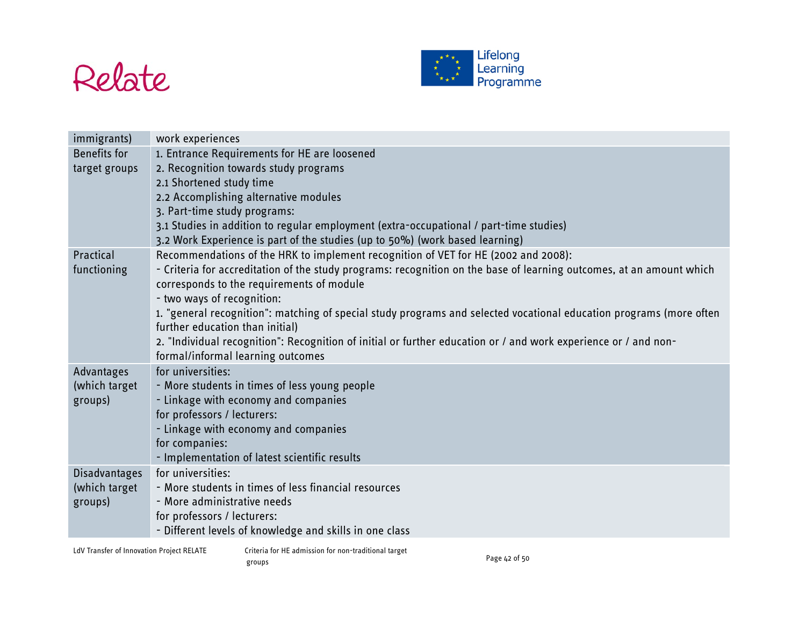



| <b>Benefits for</b><br>1. Entrance Requirements for HE are loosened<br>2. Recognition towards study programs<br>target groups<br>2.1 Shortened study time<br>2.2 Accomplishing alternative modules<br>3. Part-time study programs:<br>3.1 Studies in addition to regular employment (extra-occupational / part-time studies)<br>3.2 Work Experience is part of the studies (up to 50%) (work based learning)<br>Recommendations of the HRK to implement recognition of VET for HE (2002 and 2008):<br>Practical |
|-----------------------------------------------------------------------------------------------------------------------------------------------------------------------------------------------------------------------------------------------------------------------------------------------------------------------------------------------------------------------------------------------------------------------------------------------------------------------------------------------------------------|
|                                                                                                                                                                                                                                                                                                                                                                                                                                                                                                                 |
|                                                                                                                                                                                                                                                                                                                                                                                                                                                                                                                 |
|                                                                                                                                                                                                                                                                                                                                                                                                                                                                                                                 |
|                                                                                                                                                                                                                                                                                                                                                                                                                                                                                                                 |
|                                                                                                                                                                                                                                                                                                                                                                                                                                                                                                                 |
|                                                                                                                                                                                                                                                                                                                                                                                                                                                                                                                 |
|                                                                                                                                                                                                                                                                                                                                                                                                                                                                                                                 |
|                                                                                                                                                                                                                                                                                                                                                                                                                                                                                                                 |
| - Criteria for accreditation of the study programs: recognition on the base of learning outcomes, at an amount which<br>functioning                                                                                                                                                                                                                                                                                                                                                                             |
| corresponds to the requirements of module                                                                                                                                                                                                                                                                                                                                                                                                                                                                       |
| - two ways of recognition:                                                                                                                                                                                                                                                                                                                                                                                                                                                                                      |
| 1. "general recognition": matching of special study programs and selected vocational education programs (more often<br>further education than initial)                                                                                                                                                                                                                                                                                                                                                          |
| 2. "Individual recognition": Recognition of initial or further education or / and work experience or / and non-                                                                                                                                                                                                                                                                                                                                                                                                 |
| formal/informal learning outcomes                                                                                                                                                                                                                                                                                                                                                                                                                                                                               |
| for universities:<br>Advantages                                                                                                                                                                                                                                                                                                                                                                                                                                                                                 |
| (which target<br>- More students in times of less young people                                                                                                                                                                                                                                                                                                                                                                                                                                                  |
| - Linkage with economy and companies<br>groups)                                                                                                                                                                                                                                                                                                                                                                                                                                                                 |
| for professors / lecturers:                                                                                                                                                                                                                                                                                                                                                                                                                                                                                     |
| - Linkage with economy and companies                                                                                                                                                                                                                                                                                                                                                                                                                                                                            |
| for companies:                                                                                                                                                                                                                                                                                                                                                                                                                                                                                                  |
| - Implementation of latest scientific results                                                                                                                                                                                                                                                                                                                                                                                                                                                                   |
| for universities:<br>Disadvantages                                                                                                                                                                                                                                                                                                                                                                                                                                                                              |
| - More students in times of less financial resources<br>(which target                                                                                                                                                                                                                                                                                                                                                                                                                                           |
| - More administrative needs<br>groups)                                                                                                                                                                                                                                                                                                                                                                                                                                                                          |
| for professors / lecturers:                                                                                                                                                                                                                                                                                                                                                                                                                                                                                     |
| - Different levels of knowledge and skills in one class                                                                                                                                                                                                                                                                                                                                                                                                                                                         |

LdV Transfer of Innovation Project RELATE Criteria for HE admission for non-traditional target eriteria for the admission for fion traditional target<br>groups Page 42 of 50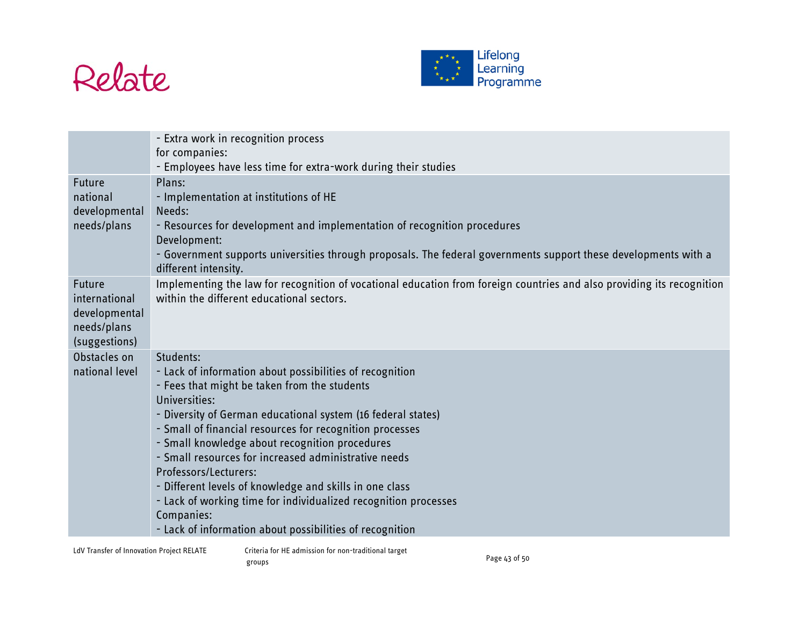



|                                                                          | - Extra work in recognition process<br>for companies:<br>- Employees have less time for extra-work during their studies                                                                                                                                                                                                                                                                                                                                                                                                                                                                                       |
|--------------------------------------------------------------------------|---------------------------------------------------------------------------------------------------------------------------------------------------------------------------------------------------------------------------------------------------------------------------------------------------------------------------------------------------------------------------------------------------------------------------------------------------------------------------------------------------------------------------------------------------------------------------------------------------------------|
| Future<br>national<br>developmental<br>needs/plans                       | Plans:<br>- Implementation at institutions of HE<br>Needs:<br>- Resources for development and implementation of recognition procedures<br>Development:<br>- Government supports universities through proposals. The federal governments support these developments with a<br>different intensity.                                                                                                                                                                                                                                                                                                             |
| Future<br>international<br>developmental<br>needs/plans<br>(suggestions) | Implementing the law for recognition of vocational education from foreign countries and also providing its recognition<br>within the different educational sectors.                                                                                                                                                                                                                                                                                                                                                                                                                                           |
| Obstacles on<br>national level                                           | Students:<br>- Lack of information about possibilities of recognition<br>- Fees that might be taken from the students<br>Universities:<br>- Diversity of German educational system (16 federal states)<br>- Small of financial resources for recognition processes<br>- Small knowledge about recognition procedures<br>- Small resources for increased administrative needs<br>Professors/Lecturers:<br>- Different levels of knowledge and skills in one class<br>- Lack of working time for individualized recognition processes<br>Companies:<br>- Lack of information about possibilities of recognition |

LdV Transfer of Innovation Project RELATE Criteria for HE admission for non-traditional target eriteria for the admission for fion traditional target<br>groups Page 43 of 50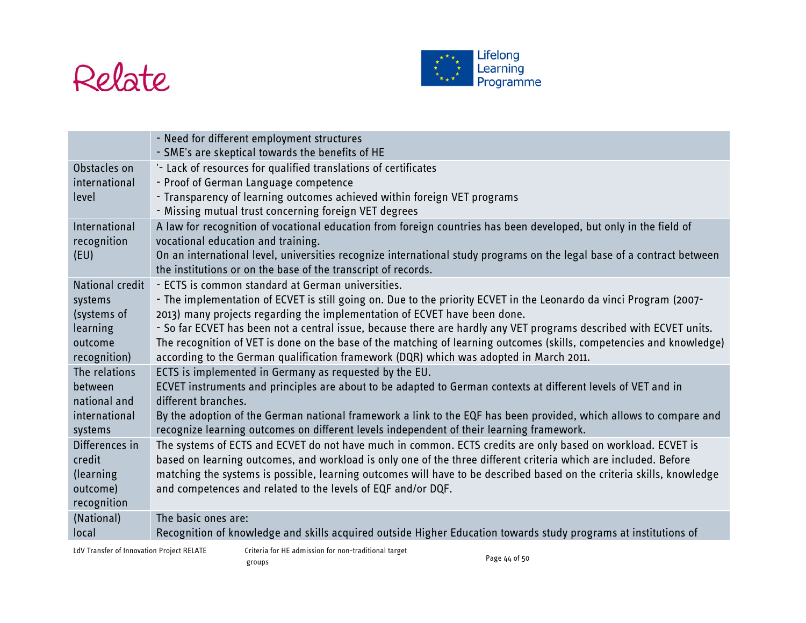



|                     | - Need for different employment structures<br>- SME's are skeptical towards the benefits of HE                                                                                                                                             |
|---------------------|--------------------------------------------------------------------------------------------------------------------------------------------------------------------------------------------------------------------------------------------|
| Obstacles on        | '- Lack of resources for qualified translations of certificates                                                                                                                                                                            |
| international       | - Proof of German Language competence                                                                                                                                                                                                      |
| level               | - Transparency of learning outcomes achieved within foreign VET programs                                                                                                                                                                   |
| International       | - Missing mutual trust concerning foreign VET degrees<br>A law for recognition of vocational education from foreign countries has been developed, but only in the field of                                                                 |
| recognition         | vocational education and training.                                                                                                                                                                                                         |
| (EU)                | On an international level, universities recognize international study programs on the legal base of a contract between                                                                                                                     |
|                     | the institutions or on the base of the transcript of records.                                                                                                                                                                              |
| National credit     | - ECTS is common standard at German universities.                                                                                                                                                                                          |
| systems             | - The implementation of ECVET is still going on. Due to the priority ECVET in the Leonardo da vinci Program (2007-                                                                                                                         |
| (systems of         | 2013) many projects regarding the implementation of ECVET have been done.                                                                                                                                                                  |
| learning<br>outcome | - So far ECVET has been not a central issue, because there are hardly any VET programs described with ECVET units.<br>The recognition of VET is done on the base of the matching of learning outcomes (skills, competencies and knowledge) |
| recognition)        | according to the German qualification framework (DQR) which was adopted in March 2011.                                                                                                                                                     |
| The relations       | ECTS is implemented in Germany as requested by the EU.                                                                                                                                                                                     |
| between             | ECVET instruments and principles are about to be adapted to German contexts at different levels of VET and in                                                                                                                              |
| national and        | different branches.                                                                                                                                                                                                                        |
| international       | By the adoption of the German national framework a link to the EQF has been provided, which allows to compare and                                                                                                                          |
| systems             | recognize learning outcomes on different levels independent of their learning framework.                                                                                                                                                   |
| Differences in      | The systems of ECTS and ECVET do not have much in common. ECTS credits are only based on workload. ECVET is                                                                                                                                |
| credit<br>(learning | based on learning outcomes, and workload is only one of the three different criteria which are included. Before<br>matching the systems is possible, learning outcomes will have to be described based on the criteria skills, knowledge   |
| outcome)            | and competences and related to the levels of EQF and/or DQF.                                                                                                                                                                               |
| recognition         |                                                                                                                                                                                                                                            |
| (National)          | The basic ones are:                                                                                                                                                                                                                        |
| local               | Recognition of knowledge and skills acquired outside Higher Education towards study programs at institutions of                                                                                                                            |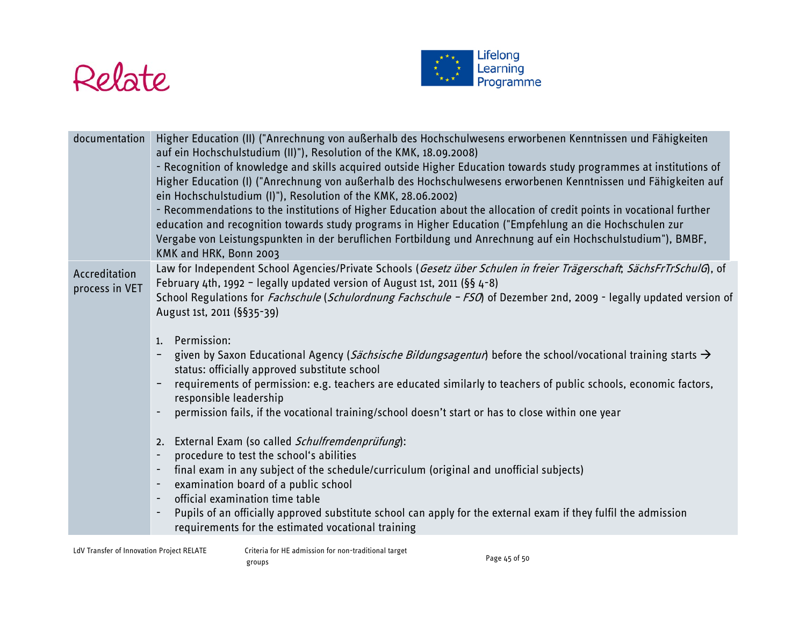



| documentation                   | Higher Education (II) ("Anrechnung von außerhalb des Hochschulwesens erworbenen Kenntnissen und Fähigkeiten<br>auf ein Hochschulstudium (II)"), Resolution of the KMK, 18.09.2008)<br>- Recognition of knowledge and skills acquired outside Higher Education towards study programmes at institutions of<br>Higher Education (I) ("Anrechnung von außerhalb des Hochschulwesens erworbenen Kenntnissen und Fähigkeiten auf<br>ein Hochschulstudium (I)"), Resolution of the KMK, 28.06.2002)<br>- Recommendations to the institutions of Higher Education about the allocation of credit points in vocational further<br>education and recognition towards study programs in Higher Education ("Empfehlung an die Hochschulen zur<br>Vergabe von Leistungspunkten in der beruflichen Fortbildung und Anrechnung auf ein Hochschulstudium"), BMBF,<br>KMK and HRK, Bonn 2003                                                                                                                                                                                                                                                                                                                                                                                                                                                         |
|---------------------------------|--------------------------------------------------------------------------------------------------------------------------------------------------------------------------------------------------------------------------------------------------------------------------------------------------------------------------------------------------------------------------------------------------------------------------------------------------------------------------------------------------------------------------------------------------------------------------------------------------------------------------------------------------------------------------------------------------------------------------------------------------------------------------------------------------------------------------------------------------------------------------------------------------------------------------------------------------------------------------------------------------------------------------------------------------------------------------------------------------------------------------------------------------------------------------------------------------------------------------------------------------------------------------------------------------------------------------------------|
| Accreditation<br>process in VET | Law for Independent School Agencies/Private Schools (Gesetz über Schulen in freier Trägerschaft, SächsFrTrSchulG), of<br>February 4th, 1992 - legally updated version of August 1st, 2011 ( $\S$ § 4-8)<br>School Regulations for <i>Fachschule (Schulordnung Fachschule - FSO</i> ) of Dezember 2nd, 2009 - legally updated version of<br>August 1st, 2011 (§§35-39)<br>Permission:<br>1.<br>given by Saxon Educational Agency (Sächsische Bildungsagentur) before the school/vocational training starts $\rightarrow$<br>status: officially approved substitute school<br>requirements of permission: e.g. teachers are educated similarly to teachers of public schools, economic factors,<br>responsible leadership<br>permission fails, if the vocational training/school doesn't start or has to close within one year<br>2. External Exam (so called Schulfremdenprüfung):<br>procedure to test the school's abilities<br>$\overline{\phantom{a}}$<br>final exam in any subject of the schedule/curriculum (original and unofficial subjects)<br>examination board of a public school<br>$\overline{\phantom{a}}$<br>official examination time table<br>Pupils of an officially approved substitute school can apply for the external exam if they fulfil the admission<br>requirements for the estimated vocational training |
|                                 |                                                                                                                                                                                                                                                                                                                                                                                                                                                                                                                                                                                                                                                                                                                                                                                                                                                                                                                                                                                                                                                                                                                                                                                                                                                                                                                                      |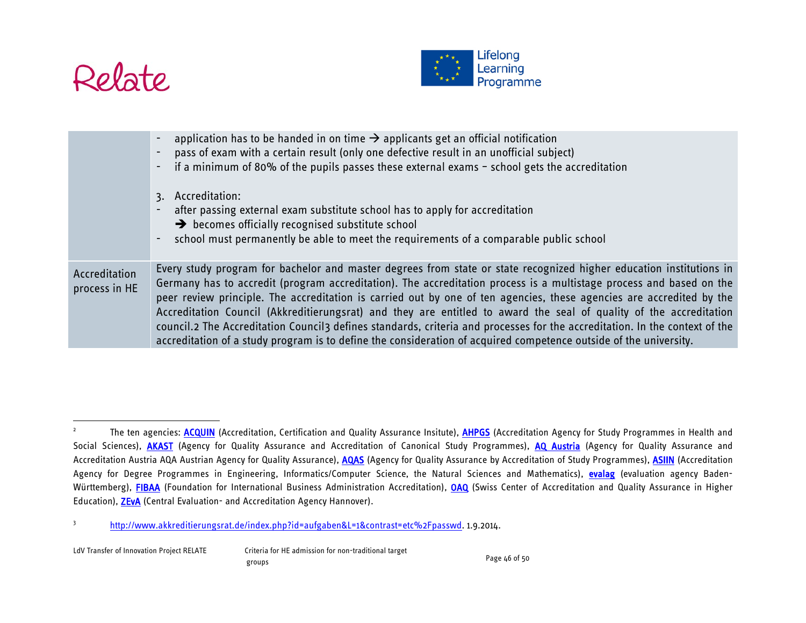

<span id="page-45-1"></span><span id="page-45-0"></span>

|                                | application has to be handed in on time $\rightarrow$ applicants get an official notification<br>pass of exam with a certain result (only one defective result in an unofficial subject)<br>if a minimum of 80% of the pupils passes these external exams $-$ school gets the accreditation<br>$\blacksquare$<br>3. Accreditation:<br>after passing external exam substitute school has to apply for accreditation<br>$\overline{\phantom{a}}$<br>$\rightarrow$ becomes officially recognised substitute school<br>school must permanently be able to meet the requirements of a comparable public school<br>$\blacksquare$                                                                                                                  |
|--------------------------------|----------------------------------------------------------------------------------------------------------------------------------------------------------------------------------------------------------------------------------------------------------------------------------------------------------------------------------------------------------------------------------------------------------------------------------------------------------------------------------------------------------------------------------------------------------------------------------------------------------------------------------------------------------------------------------------------------------------------------------------------|
| Accreditation<br>process in HE | Every study program for bachelor and master degrees from state or state recognized higher education institutions in<br>Germany has to accredit (program accreditation). The accreditation process is a multistage process and based on the<br>peer review principle. The accreditation is carried out by one of ten agencies, these agencies are accredited by the<br>Accreditation Council (Akkreditierungsrat) and they are entitled to award the seal of quality of the accreditation<br>council.2 The Accreditation Council3 defines standards, criteria and processes for the accreditation. In the context of the<br>accreditation of a study program is to define the consideration of acquired competence outside of the university. |

<sup>&</sup>lt;sup>2</sup> The ten agencies: **ACQUIN** (Accreditation, Certification and Quality Assurance Insitute), **AHPGS** (Accreditation Agency for Study Programmes in Health and Social Sciences), [AKAST](http://www.akkreditierungsrat.de/index.php?id=akast&L=1&contrast=etc%2Fpasswd) (Agency for Quality Assurance and Accreditation of Canonical Study Programmes), [AQ Austria](http://www.akkreditierungsrat.de/index.php?id=aqaustria&L=1&contrast=etc%2Fpasswd) (Agency for Quality Assurance and Accreditation Austria AQA Austrian Agency for Quality Assurance), [AQAS](http://www.akkreditierungsrat.de/index.php?id=34&L=1&contrast=etc%2Fpasswd) (Agency for Quality Assurance by Accreditation of Study Programmes), [ASIIN](http://www.akkreditierungsrat.de/index.php?id=31&L=1&contrast=etc%2Fpasswd) (Accreditation Agency for Degree Programmes in Engineering, Informatics/Computer Science, the Natural Sciences and Mathematics), [evalag](http://www.akkreditierungsrat.de/index.php?id=89&L=1&contrast=etc%2Fpasswd) (evaluation agency Baden-Württemberg), [FIBAA](http://www.akkreditierungsrat.de/index.php?id=30&L=1&contrast=etc%2Fpasswd) (Foundation for International Business Administration Accreditation), [OAQ](http://www.akkreditierungsrat.de/index.php?id=86&L=1&contrast=etc%2Fpasswd#c210) (Swiss Center of Accreditation and Quality Assurance in Higher Education), [ZEvA](http://www.akkreditierungsrat.de/index.php?id=29&L=1&contrast=etc%2Fpasswd) (Central Evaluation- and Accreditation Agency Hannover).

<sup>3</sup> [http://www.akkreditierungsrat.de/index.php?id=aufgaben&L=1&contrast=etc%2Fpasswd.](http://www.akkreditierungsrat.de/index.php?id=aufgaben&L=1&contrast=etc%2Fpasswd) 1.9.2014.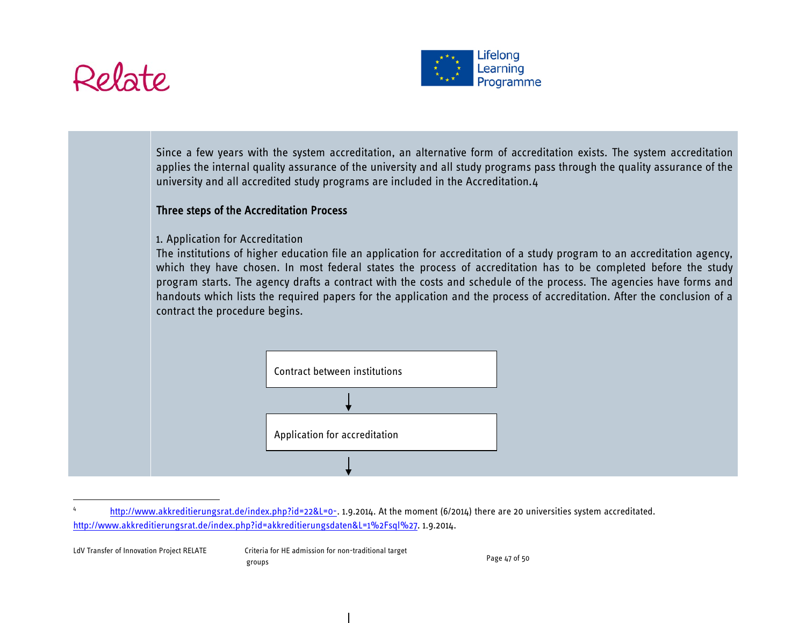

<span id="page-46-0"></span>

Since a few years with the system accreditation, an alternative form of accreditation exists. The system accreditation applies the internal quality assurance of the university and all study programs pass through the quality assurance of the university and all accredited study programs are included in the Accreditation.[4](#page-46-0)

#### Three steps of the Accreditation Process

#### 1. Application for Accreditation

The institutions of higher education file an application for accreditation of a study program to an accreditation agency, which they have chosen. In most federal states the process of accreditation has to be completed before the study program starts. The agency drafts a contract with the costs and schedule of the process. The agencies have forms and handouts which lists the required papers for the application and the process of accreditation. After the conclusion of a contract the procedure begins.



[http://www.akkreditierungsrat.de/index.php?id=22&L=0-.](http://www.akkreditierungsrat.de/index.php?id=22&L=0-) 1.9.2014. At the moment (6/2014) there are 20 universities system accreditated. [http://www.akkreditierungsrat.de/index.php?id=akkreditierungsdaten&L=1%2Fsql%27.](http://www.akkreditierungsrat.de/index.php?id=akkreditierungsdaten&L=1%2Fsql%27) 1.9.2014.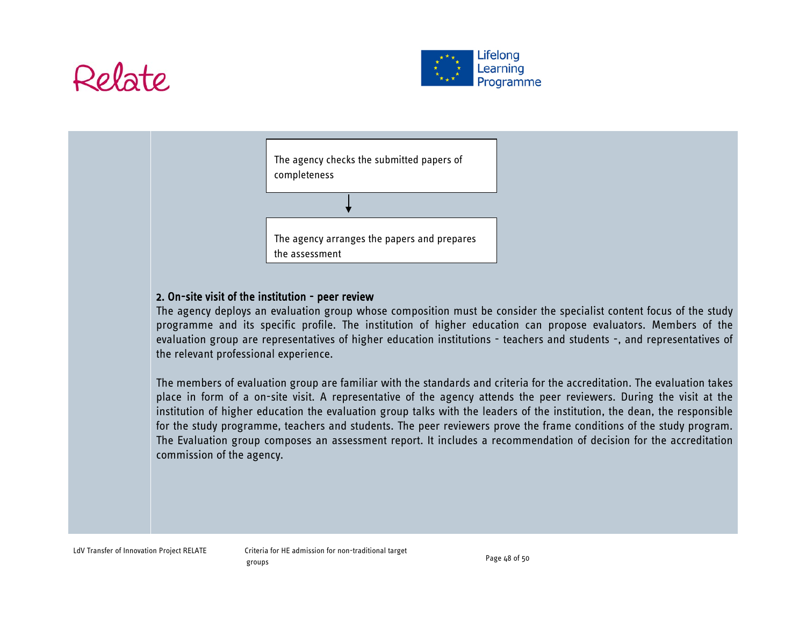



| The agency checks the submitted papers of<br>completeness     |
|---------------------------------------------------------------|
|                                                               |
| The agency arranges the papers and prepares<br>the assessment |

## 2. On-site visit of the institution - peer review

The agency deploys an evaluation group whose composition must be consider the specialist content focus of the study programme and its specific profile. The institution of higher education can propose evaluators. Members of the evaluation group are representatives of higher education institutions - teachers and students -, and representatives of the relevant professional experience.

The members of evaluation group are familiar with the standards and criteria for the accreditation. The evaluation takes place in form of a on-site visit. A representative of the agency attends the peer reviewers. During the visit at the institution of higher education the evaluation group talks with the leaders of the institution, the dean, the responsible for the study programme, teachers and students. The peer reviewers prove the frame conditions of the study program. The Evaluation group composes an assessment report. It includes a recommendation of decision for the accreditation commission of the agency.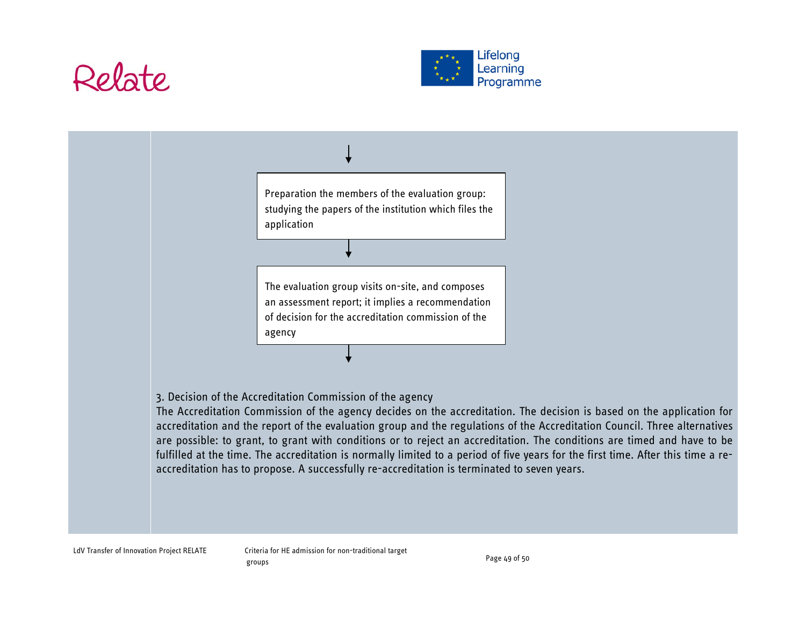# Rolato





fulfilled at the time. The accreditation is normally limited to a period of five years for the first time. After this time a reaccreditation has to propose. A successfully re-accreditation is terminated to seven years.